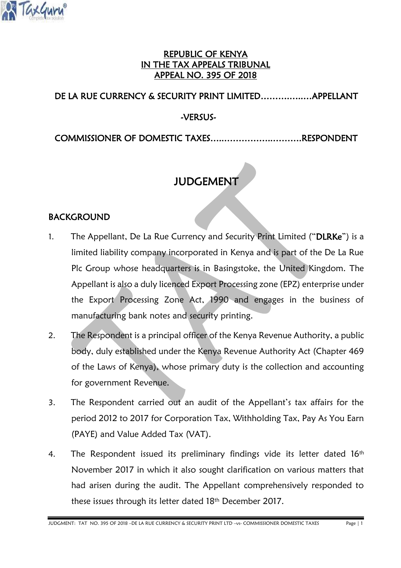

### REPUBLIC OF KENYA IN THE TAX APPEALS TRIBUNAL APPEAL NO. 395 OF 2018

### DE LA RUE CURRENCY & SECURITY PRINT LIMITED……….…..…APPELLANT

-VERSUS-

COMMISSIONER OF DOMESTIC TAXES…..……………..……….RESPONDENT

# JUDGEMENT

### BACKGROUND

- 1. The Appellant, De La Rue Currency and Security Print Limited ("DLRKe") is a limited liability company incorporated in Kenya and is part of the De La Rue Plc Group whose headquarters is in Basingstoke, the United Kingdom. The Appellant is also a duly licenced Export Processing zone (EPZ) enterprise under the Export Processing Zone Act, 1990 and engages in the business of manufacturing bank notes and security printing.
- 2. The Respondent is a principal officer of the Kenya Revenue Authority, a public body, duly established under the Kenya Revenue Authority Act (Chapter 469 of the Laws of Kenya), whose primary duty is the collection and accounting for government Revenue.
- 3. The Respondent carried out an audit of the Appellant's tax affairs for the period 2012 to 2017 for Corporation Tax, Withholding Tax, Pay As You Earn (PAYE) and Value Added Tax (VAT).
- 4. The Respondent issued its preliminary findings vide its letter dated 16<sup>th</sup> November 2017 in which it also sought clarification on various matters that had arisen during the audit. The Appellant comprehensively responded to these issues through its letter dated 18<sup>th</sup> December 2017.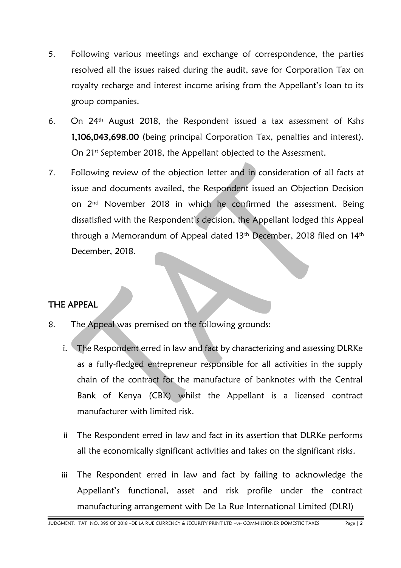- 5. Following various meetings and exchange of correspondence, the parties resolved all the issues raised during the audit, save for Corporation Tax on royalty recharge and interest income arising from the Appellant's loan to its group companies.
- 6. On 24th August 2018, the Respondent issued a tax assessment of Kshs 1,106,043,698.00 (being principal Corporation Tax, penalties and interest). On 21<sup>st</sup> September 2018, the Appellant objected to the Assessment.
- 7. Following review of the objection letter and in consideration of all facts at issue and documents availed, the Respondent issued an Objection Decision on 2nd November 2018 in which he confirmed the assessment. Being dissatisfied with the Respondent's decision, the Appellant lodged this Appeal through a Memorandum of Appeal dated 13<sup>th</sup> December, 2018 filed on 14<sup>th</sup> December, 2018.

### THE APPEAL

- 8. The Appeal was premised on the following grounds:
	- i. The Respondent erred in law and fact by characterizing and assessing DLRKe as a fully-fledged entrepreneur responsible for all activities in the supply chain of the contract for the manufacture of banknotes with the Central Bank of Kenya (CBK) whilst the Appellant is a licensed contract manufacturer with limited risk.
	- ii The Respondent erred in law and fact in its assertion that DLRKe performs all the economically significant activities and takes on the significant risks.
	- iii The Respondent erred in law and fact by failing to acknowledge the Appellant's functional, asset and risk profile under the contract manufacturing arrangement with De La Rue International Limited (DLRI)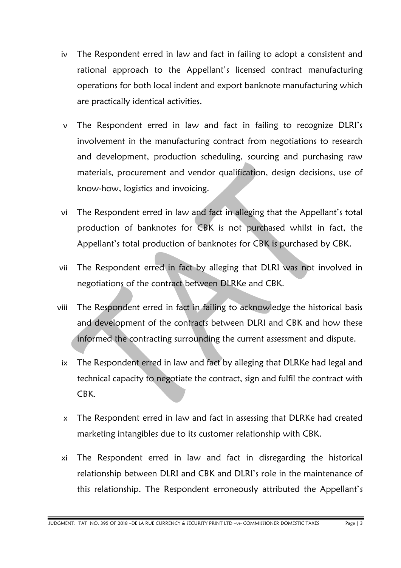- iv The Respondent erred in law and fact in failing to adopt a consistent and rational approach to the Appellant's licensed contract manufacturing operations for both local indent and export banknote manufacturing which are practically identical activities.
- v The Respondent erred in law and fact in failing to recognize DLRI's involvement in the manufacturing contract from negotiations to research and development, production scheduling, sourcing and purchasing raw materials, procurement and vendor qualification, design decisions, use of know-how, logistics and invoicing.
- vi The Respondent erred in law and fact in alleging that the Appellant's total production of banknotes for CBK is not purchased whilst in fact, the Appellant's total production of banknotes for CBK is purchased by CBK.
- vii The Respondent erred in fact by alleging that DLRI was not involved in negotiations of the contract between DLRKe and CBK.
- viii The Respondent erred in fact in failing to acknowledge the historical basis and development of the contracts between DLRI and CBK and how these informed the contracting surrounding the current assessment and dispute.
	- ix The Respondent erred in law and fact by alleging that DLRKe had legal and technical capacity to negotiate the contract, sign and fulfil the contract with CBK.
	- x The Respondent erred in law and fact in assessing that DLRKe had created marketing intangibles due to its customer relationship with CBK.
	- xi The Respondent erred in law and fact in disregarding the historical relationship between DLRI and CBK and DLRI's role in the maintenance of this relationship. The Respondent erroneously attributed the Appellant's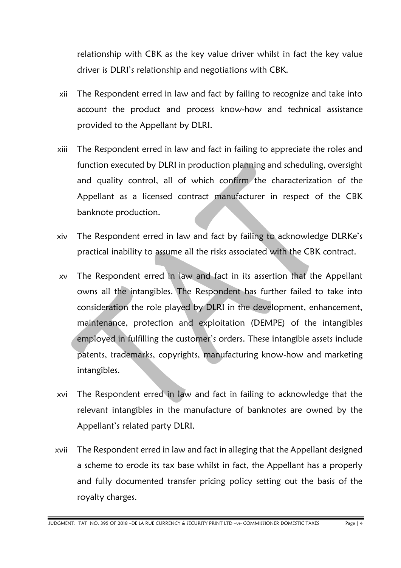relationship with CBK as the key value driver whilst in fact the key value driver is DLRI's relationship and negotiations with CBK.

- xii The Respondent erred in law and fact by failing to recognize and take into account the product and process know-how and technical assistance provided to the Appellant by DLRI.
- xiii The Respondent erred in law and fact in failing to appreciate the roles and function executed by DLRI in production planning and scheduling, oversight and quality control, all of which confirm the characterization of the Appellant as a licensed contract manufacturer in respect of the CBK banknote production.
- xiv The Respondent erred in law and fact by failing to acknowledge DLRKe's practical inability to assume all the risks associated with the CBK contract.
- xv The Respondent erred in law and fact in its assertion that the Appellant owns all the intangibles. The Respondent has further failed to take into consideration the role played by DLRI in the development, enhancement, maintenance, protection and exploitation (DEMPE) of the intangibles employed in fulfilling the customer's orders. These intangible assets include patents, trademarks, copyrights, manufacturing know-how and marketing intangibles.
- xvi The Respondent erred in law and fact in failing to acknowledge that the relevant intangibles in the manufacture of banknotes are owned by the Appellant's related party DLRI.
- xvii The Respondent erred in law and fact in alleging that the Appellant designed a scheme to erode its tax base whilst in fact, the Appellant has a properly and fully documented transfer pricing policy setting out the basis of the royalty charges.

JUDGMENT: TAT NO. 395 OF 2018 –DE LA RUE CURRENCY & SECURITY PRINT LTD –vs- COMMISSIONER DOMESTIC TAXES Page | 4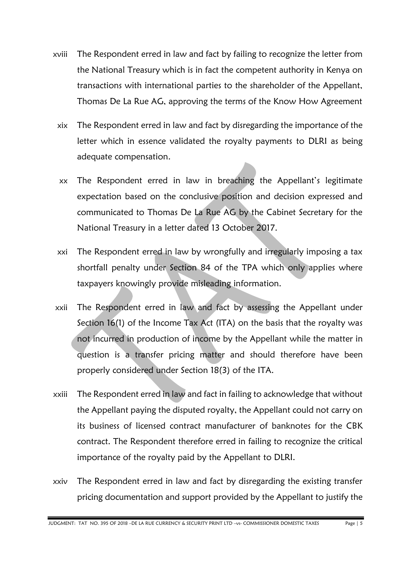- xviii The Respondent erred in law and fact by failing to recognize the letter from the National Treasury which is in fact the competent authority in Kenya on transactions with international parties to the shareholder of the Appellant, Thomas De La Rue AG, approving the terms of the Know How Agreement
	- xix The Respondent erred in law and fact by disregarding the importance of the letter which in essence validated the royalty payments to DLRI as being adequate compensation.
	- xx The Respondent erred in law in breaching the Appellant's legitimate expectation based on the conclusive position and decision expressed and communicated to Thomas De La Rue AG by the Cabinet Secretary for the National Treasury in a letter dated 13 October 2017.
	- xxi The Respondent erred in law by wrongfully and irregularly imposing a tax shortfall penalty under Section 84 of the TPA which only applies where taxpayers knowingly provide misleading information.
- xxii The Respondent erred in law and fact by assessing the Appellant under Section 16(1) of the Income Tax Act (ITA) on the basis that the royalty was not incurred in production of income by the Appellant while the matter in question is a transfer pricing matter and should therefore have been properly considered under Section 18(3) of the ITA.
- xxiii The Respondent erred in law and fact in failing to acknowledge that without the Appellant paying the disputed royalty, the Appellant could not carry on its business of licensed contract manufacturer of banknotes for the CBK contract. The Respondent therefore erred in failing to recognize the critical importance of the royalty paid by the Appellant to DLRI.
- xxiv The Respondent erred in law and fact by disregarding the existing transfer pricing documentation and support provided by the Appellant to justify the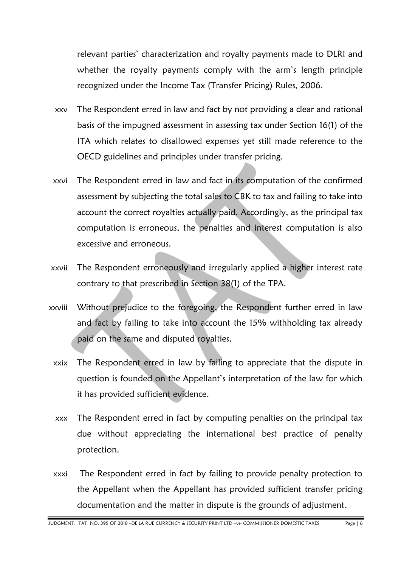relevant parties' characterization and royalty payments made to DLRI and whether the royalty payments comply with the arm's length principle recognized under the Income Tax (Transfer Pricing) Rules, 2006.

- xxv The Respondent erred in law and fact by not providing a clear and rational basis of the impugned assessment in assessing tax under Section 16(1) of the ITA which relates to disallowed expenses yet still made reference to the OECD guidelines and principles under transfer pricing.
- xxvi The Respondent erred in law and fact in its computation of the confirmed assessment by subjecting the total sales to CBK to tax and failing to take into account the correct royalties actually paid. Accordingly, as the principal tax computation is erroneous, the penalties and interest computation is also excessive and erroneous.
- xxvii The Respondent erroneously and irregularly applied a higher interest rate contrary to that prescribed in Section 38(1) of the TPA.
- xxviii Without prejudice to the foregoing, the Respondent further erred in law and fact by failing to take into account the 15% withholding tax already paid on the same and disputed royalties.
	- xxix The Respondent erred in law by failing to appreciate that the dispute in question is founded on the Appellant's interpretation of the law for which it has provided sufficient evidence.
	- xxx The Respondent erred in fact by computing penalties on the principal tax due without appreciating the international best practice of penalty protection.
	- xxxi The Respondent erred in fact by failing to provide penalty protection to the Appellant when the Appellant has provided sufficient transfer pricing documentation and the matter in dispute is the grounds of adjustment.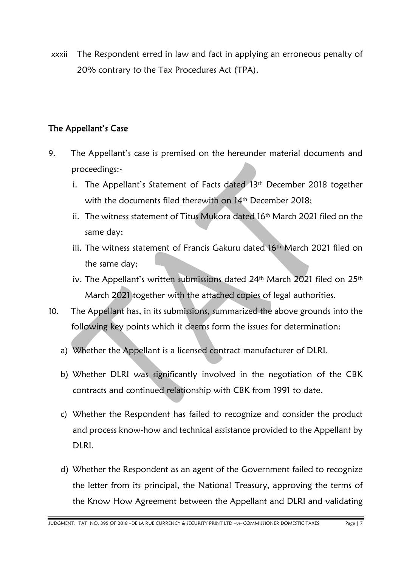xxxii The Respondent erred in law and fact in applying an erroneous penalty of 20% contrary to the Tax Procedures Act (TPA).

#### The Appellant's Case

- 9. The Appellant's case is premised on the hereunder material documents and proceedings:
	- i. The Appellant's Statement of Facts dated 13<sup>th</sup> December 2018 together with the documents filed therewith on 14<sup>th</sup> December 2018;
	- ii. The witness statement of Titus Mukora dated 16<sup>th</sup> March 2021 filed on the same day;
	- iii. The witness statement of Francis Gakuru dated 16th March 2021 filed on the same day;
	- iv. The Appellant's written submissions dated 24<sup>th</sup> March 2021 filed on 25<sup>th</sup> March 2021 together with the attached copies of legal authorities.
- 10. The Appellant has, in its submissions, summarized the above grounds into the following key points which it deems form the issues for determination:
	- a) Whether the Appellant is a licensed contract manufacturer of DLRI.
	- b) Whether DLRI was significantly involved in the negotiation of the CBK contracts and continued relationship with CBK from 1991 to date.
	- c) Whether the Respondent has failed to recognize and consider the product and process know-how and technical assistance provided to the Appellant by DLRI.
	- d) Whether the Respondent as an agent of the Government failed to recognize the letter from its principal, the National Treasury, approving the terms of the Know How Agreement between the Appellant and DLRI and validating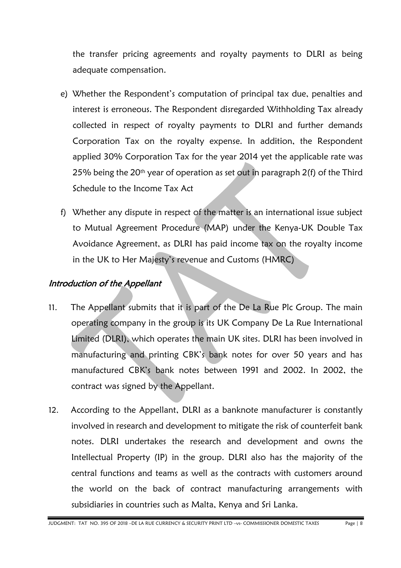the transfer pricing agreements and royalty payments to DLRI as being adequate compensation.

- e) Whether the Respondent's computation of principal tax due, penalties and interest is erroneous. The Respondent disregarded Withholding Tax already collected in respect of royalty payments to DLRI and further demands Corporation Tax on the royalty expense. In addition, the Respondent applied 30% Corporation Tax for the year 2014 yet the applicable rate was 25% being the  $20<sup>th</sup>$  year of operation as set out in paragraph  $2(f)$  of the Third Schedule to the Income Tax Act
- f) Whether any dispute in respect of the matter is an international issue subject to Mutual Agreement Procedure (MAP) under the Kenya-UK Double Tax Avoidance Agreement, as DLRI has paid income tax on the royalty income in the UK to Her Majesty's revenue and Customs (HMRC)

### Introduction of the Appellant

- 11. The Appellant submits that it is part of the De La Rue Plc Group. The main operating company in the group is its UK Company De La Rue International Limited (DLRI), which operates the main UK sites. DLRI has been involved in manufacturing and printing CBK's bank notes for over 50 years and has manufactured CBK's bank notes between 1991 and 2002. In 2002, the contract was signed by the Appellant.
- 12. According to the Appellant, DLRI as a banknote manufacturer is constantly involved in research and development to mitigate the risk of counterfeit bank notes. DLRI undertakes the research and development and owns the Intellectual Property (IP) in the group. DLRI also has the majority of the central functions and teams as well as the contracts with customers around the world on the back of contract manufacturing arrangements with subsidiaries in countries such as Malta, Kenya and Sri Lanka.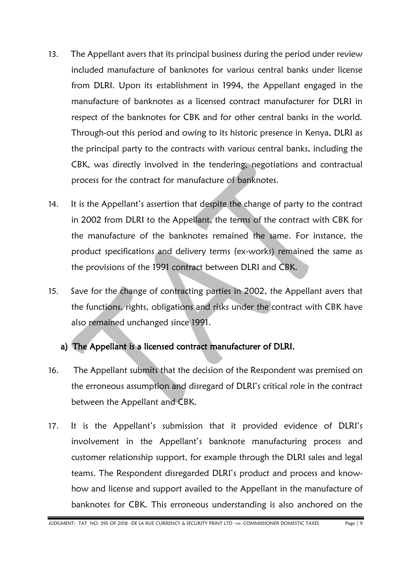- 13. The Appellant avers that its principal business during the period under review included manufacture of banknotes for various central banks under license from DLRI. Upon its establishment in 1994, the Appellant engaged in the manufacture of banknotes as a licensed contract manufacturer for DLRI in respect of the banknotes for CBK and for other central banks in the world. Through-out this period and owing to its historic presence in Kenya, DLRI as the principal party to the contracts with various central banks, including the CBK, was directly involved in the tendering, negotiations and contractual process for the contract for manufacture of banknotes.
- 14. It is the Appellant's assertion that despite the change of party to the contract in 2002 from DLRI to the Appellant, the terms of the contract with CBK for the manufacture of the banknotes remained the same. For instance, the product specifications and delivery terms (ex-works) remained the same as the provisions of the 1991 contract between DLRI and CBK.
- 15. Save for the change of contracting parties in 2002, the Appellant avers that the functions, rights, obligations and risks under the contract with CBK have also remained unchanged since 1991.

### a) The Appellant is a licensed contract manufacturer of DLRI.

- 16. The Appellant submits that the decision of the Respondent was premised on the erroneous assumption and disregard of DLRI's critical role in the contract between the Appellant and CBK.
- 17. It is the Appellant's submission that it provided evidence of DLRI's involvement in the Appellant's banknote manufacturing process and customer relationship support, for example through the DLRI sales and legal teams. The Respondent disregarded DLRI's product and process and knowhow and license and support availed to the Appellant in the manufacture of banknotes for CBK. This erroneous understanding is also anchored on the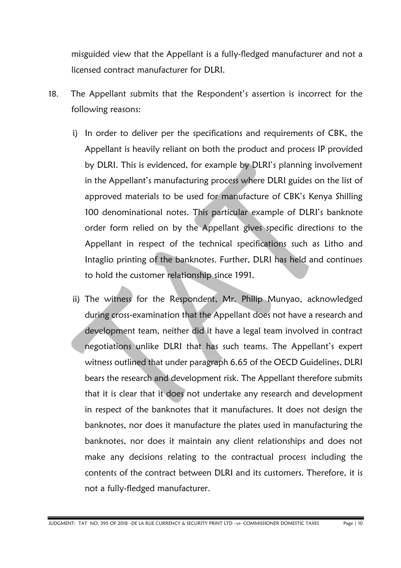misguided view that the Appellant is a fully-fledged manufacturer and not a licensed contract manufacturer for DLRI.

- 18. The Appellant submits that the Respondent's assertion is incorrect for the following reasons:
	- i) In order to deliver per the specifications and requirements of CBK, the Appellant is heavily reliant on both the product and process IP provided by DLRI. This is evidenced, for example by DLRI's planning involvement in the Appellant's manufacturing process where DLRI guides on the list of approved materials to be used for manufacture of CBK's Kenya Shilling 100 denominational notes. This particular example of DLRI's banknote order form relied on by the Appellant gives specific directions to the Appellant in respect of the technical specifications such as Litho and Intaglio printing of the banknotes. Further, DLRI has held and continues to hold the customer relationship since 1991.
	- ii) The witness for the Respondent, Mr. Philip Munyao, acknowledged during cross-examination that the Appellant does not have a research and development team, neither did it have a legal team involved in contract negotiations unlike DLRI that has such teams. The Appellant's expert witness outlined that under paragraph 6.65 of the OECD Guidelines, DLRI bears the research and development risk. The Appellant therefore submits that it is clear that it does not undertake any research and development in respect of the banknotes that it manufactures. It does not design the banknotes, nor does it manufacture the plates used in manufacturing the banknotes, nor does it maintain any client relationships and does not make any decisions relating to the contractual process including the contents of the contract between DLRI and its customers. Therefore, it is not a fully-fledged manufacturer.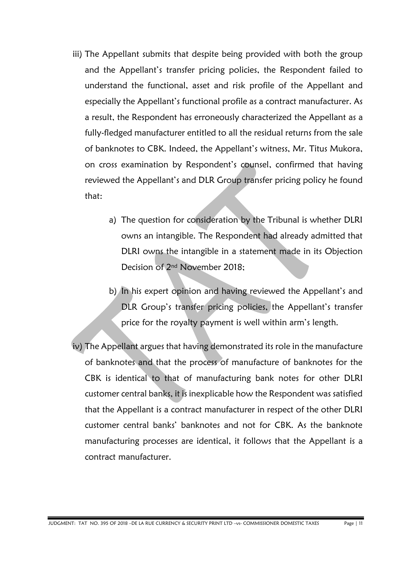- iii) The Appellant submits that despite being provided with both the group and the Appellant's transfer pricing policies, the Respondent failed to understand the functional, asset and risk profile of the Appellant and especially the Appellant's functional profile as a contract manufacturer. As a result, the Respondent has erroneously characterized the Appellant as a fully-fledged manufacturer entitled to all the residual returns from the sale of banknotes to CBK. Indeed, the Appellant's witness, Mr. Titus Mukora, on cross examination by Respondent's counsel, confirmed that having reviewed the Appellant's and DLR Group transfer pricing policy he found that:
	- a) The question for consideration by the Tribunal is whether DLRI owns an intangible. The Respondent had already admitted that DLRI owns the intangible in a statement made in its Objection Decision of 2nd November 2018;
	- b) In his expert opinion and having reviewed the Appellant's and DLR Group's transfer pricing policies, the Appellant's transfer price for the royalty payment is well within arm's length.
- iv) The Appellant argues that having demonstrated its role in the manufacture of banknotes and that the process of manufacture of banknotes for the CBK is identical to that of manufacturing bank notes for other DLRI customer central banks, it is inexplicable how the Respondent was satisfied that the Appellant is a contract manufacturer in respect of the other DLRI customer central banks' banknotes and not for CBK. As the banknote manufacturing processes are identical, it follows that the Appellant is a contract manufacturer.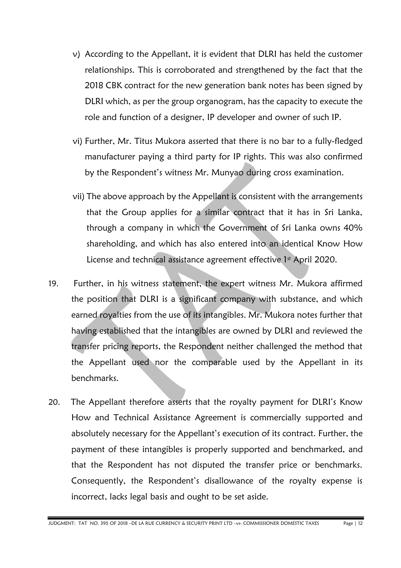- v) According to the Appellant, it is evident that DLRI has held the customer relationships. This is corroborated and strengthened by the fact that the 2018 CBK contract for the new generation bank notes has been signed by DLRI which, as per the group organogram, has the capacity to execute the role and function of a designer, IP developer and owner of such IP.
- vi) Further, Mr. Titus Mukora asserted that there is no bar to a fully-fledged manufacturer paying a third party for IP rights. This was also confirmed by the Respondent's witness Mr. Munyao during cross examination.
- vii) The above approach by the Appellant is consistent with the arrangements that the Group applies for a similar contract that it has in Sri Lanka, through a company in which the Government of Sri Lanka owns 40% shareholding, and which has also entered into an identical Know How License and technical assistance agreement effective 1st April 2020.
- 19. Further, in his witness statement, the expert witness Mr. Mukora affirmed the position that DLRI is a significant company with substance, and which earned royalties from the use of its intangibles. Mr. Mukora notes further that having established that the intangibles are owned by DLRI and reviewed the transfer pricing reports, the Respondent neither challenged the method that the Appellant used nor the comparable used by the Appellant in its benchmarks.
- 20. The Appellant therefore asserts that the royalty payment for DLRI's Know How and Technical Assistance Agreement is commercially supported and absolutely necessary for the Appellant's execution of its contract. Further, the payment of these intangibles is properly supported and benchmarked, and that the Respondent has not disputed the transfer price or benchmarks. Consequently, the Respondent's disallowance of the royalty expense is incorrect, lacks legal basis and ought to be set aside.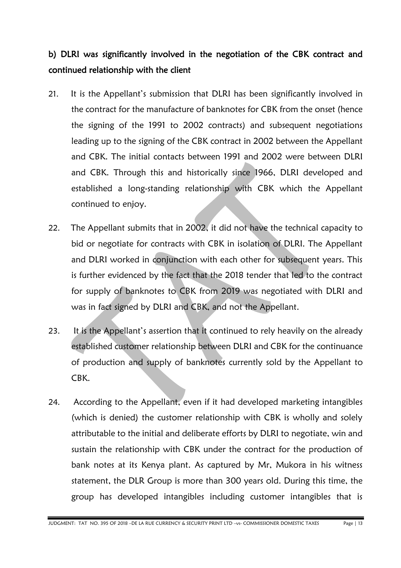## b) DLRI was significantly involved in the negotiation of the CBK contract and continued relationship with the client

- 21. It is the Appellant's submission that DLRI has been significantly involved in the contract for the manufacture of banknotes for CBK from the onset (hence the signing of the 1991 to 2002 contracts) and subsequent negotiations leading up to the signing of the CBK contract in 2002 between the Appellant and CBK. The initial contacts between 1991 and 2002 were between DLRI and CBK. Through this and historically since 1966, DLRI developed and established a long-standing relationship with CBK which the Appellant continued to enjoy.
- 22. The Appellant submits that in 2002, it did not have the technical capacity to bid or negotiate for contracts with CBK in isolation of DLRI. The Appellant and DLRI worked in conjunction with each other for subsequent years. This is further evidenced by the fact that the 2018 tender that led to the contract for supply of banknotes to CBK from 2019 was negotiated with DLRI and was in fact signed by DLRI and CBK, and not the Appellant.
- 23. It is the Appellant's assertion that it continued to rely heavily on the already established customer relationship between DLRI and CBK for the continuance of production and supply of banknotes currently sold by the Appellant to CBK.
- 24. According to the Appellant, even if it had developed marketing intangibles (which is denied) the customer relationship with CBK is wholly and solely attributable to the initial and deliberate efforts by DLRI to negotiate, win and sustain the relationship with CBK under the contract for the production of bank notes at its Kenya plant. As captured by Mr, Mukora in his witness statement, the DLR Group is more than 300 years old. During this time, the group has developed intangibles including customer intangibles that is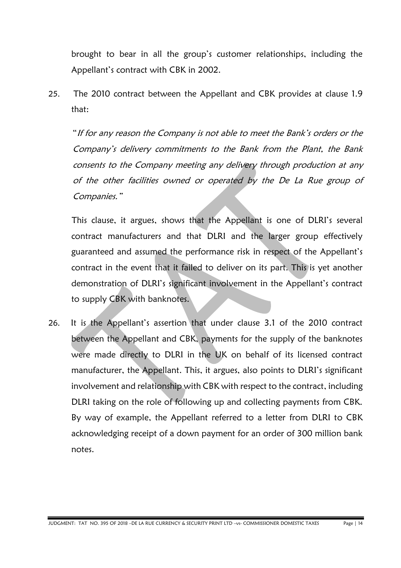brought to bear in all the group's customer relationships, including the Appellant's contract with CBK in 2002.

25. The 2010 contract between the Appellant and CBK provides at clause 1.9 that:

"If for any reason the Company is not able to meet the Bank's orders or the Company's delivery commitments to the Bank from the Plant, the Bank consents to the Company meeting any delivery through production at any of the other facilities owned or operated by the De La Rue group of Companies."

 This clause, it argues, shows that the Appellant is one of DLRI's several contract manufacturers and that DLRI and the larger group effectively guaranteed and assumed the performance risk in respect of the Appellant's contract in the event that it failed to deliver on its part. This is yet another demonstration of DLRI's significant involvement in the Appellant's contract to supply CBK with banknotes.

26. It is the Appellant's assertion that under clause 3.1 of the 2010 contract between the Appellant and CBK, payments for the supply of the banknotes were made directly to DLRI in the UK on behalf of its licensed contract manufacturer, the Appellant. This, it argues, also points to DLRI's significant involvement and relationship with CBK with respect to the contract, including DLRI taking on the role of following up and collecting payments from CBK. By way of example, the Appellant referred to a letter from DLRI to CBK acknowledging receipt of a down payment for an order of 300 million bank notes.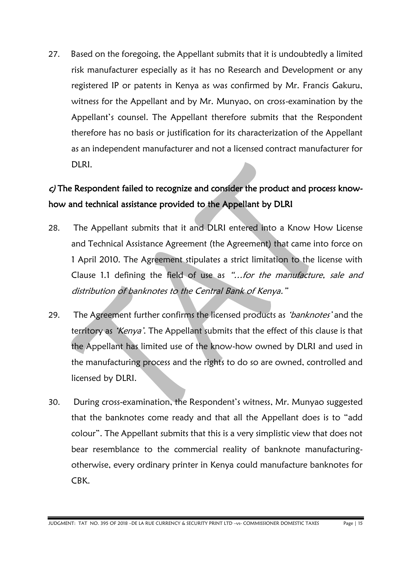27. Based on the foregoing, the Appellant submits that it is undoubtedly a limited risk manufacturer especially as it has no Research and Development or any registered IP or patents in Kenya as was confirmed by Mr. Francis Gakuru, witness for the Appellant and by Mr. Munyao, on cross-examination by the Appellant's counsel. The Appellant therefore submits that the Respondent therefore has no basis or justification for its characterization of the Appellant as an independent manufacturer and not a licensed contract manufacturer for DLRI.

## c) The Respondent failed to recognize and consider the product and process knowhow and technical assistance provided to the Appellant by DLRI

- 28. The Appellant submits that it and DLRI entered into a Know How License and Technical Assistance Agreement (the Agreement) that came into force on 1 April 2010. The Agreement stipulates a strict limitation to the license with Clause 1.1 defining the field of use as "...for the manufacture, sale and distribution of banknotes to the Central Bank of Kenya."
- 29. The Agreement further confirms the licensed products as *'banknotes'* and the territory as *'Kenya'*. The Appellant submits that the effect of this clause is that the Appellant has limited use of the know-how owned by DLRI and used in the manufacturing process and the rights to do so are owned, controlled and licensed by DLRI.
- 30. During cross-examination, the Respondent's witness, Mr. Munyao suggested that the banknotes come ready and that all the Appellant does is to "add colour". The Appellant submits that this is a very simplistic view that does not bear resemblance to the commercial reality of banknote manufacturingotherwise, every ordinary printer in Kenya could manufacture banknotes for CBK.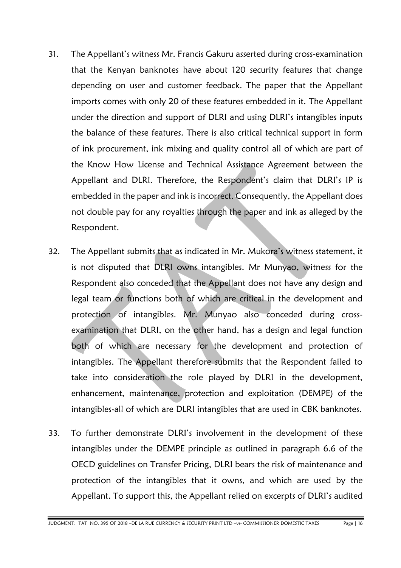- 31. The Appellant's witness Mr. Francis Gakuru asserted during cross-examination that the Kenyan banknotes have about 120 security features that change depending on user and customer feedback. The paper that the Appellant imports comes with only 20 of these features embedded in it. The Appellant under the direction and support of DLRI and using DLRI's intangibles inputs the balance of these features. There is also critical technical support in form of ink procurement, ink mixing and quality control all of which are part of the Know How License and Technical Assistance Agreement between the Appellant and DLRI. Therefore, the Respondent's claim that DLRI's IP is embedded in the paper and ink is incorrect. Consequently, the Appellant does not double pay for any royalties through the paper and ink as alleged by the Respondent.
- 32. The Appellant submits that as indicated in Mr. Mukora's witness statement, it is not disputed that DLRI owns intangibles. Mr Munyao, witness for the Respondent also conceded that the Appellant does not have any design and legal team or functions both of which are critical in the development and protection of intangibles. Mr. Munyao also conceded during crossexamination that DLRI, on the other hand, has a design and legal function both of which are necessary for the development and protection of intangibles. The Appellant therefore submits that the Respondent failed to take into consideration the role played by DLRI in the development, enhancement, maintenance, protection and exploitation (DEMPE) of the intangibles-all of which are DLRI intangibles that are used in CBK banknotes.
- 33. To further demonstrate DLRI's involvement in the development of these intangibles under the DEMPE principle as outlined in paragraph 6.6 of the OECD guidelines on Transfer Pricing, DLRI bears the risk of maintenance and protection of the intangibles that it owns, and which are used by the Appellant. To support this, the Appellant relied on excerpts of DLRI's audited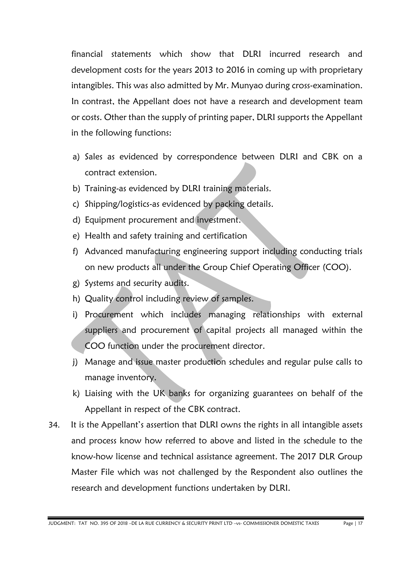financial statements which show that DLRI incurred research and development costs for the years 2013 to 2016 in coming up with proprietary intangibles. This was also admitted by Mr. Munyao during cross-examination. In contrast, the Appellant does not have a research and development team or costs. Other than the supply of printing paper, DLRI supports the Appellant in the following functions:

- a) Sales as evidenced by correspondence between DLRI and CBK on a contract extension.
- b) Training-as evidenced by DLRI training materials.
- c) Shipping/logistics-as evidenced by packing details.
- d) Equipment procurement and investment.
- e) Health and safety training and certification
- f) Advanced manufacturing engineering support including conducting trials on new products all under the Group Chief Operating Officer (COO).
- g) Systems and security audits.
- h) Quality control including review of samples.
- i) Procurement which includes managing relationships with external suppliers and procurement of capital projects all managed within the COO function under the procurement director.
- j) Manage and issue master production schedules and regular pulse calls to manage inventory.
- k) Liaising with the UK banks for organizing guarantees on behalf of the Appellant in respect of the CBK contract.
- 34. It is the Appellant's assertion that DLRI owns the rights in all intangible assets and process know how referred to above and listed in the schedule to the know-how license and technical assistance agreement. The 2017 DLR Group Master File which was not challenged by the Respondent also outlines the research and development functions undertaken by DLRI.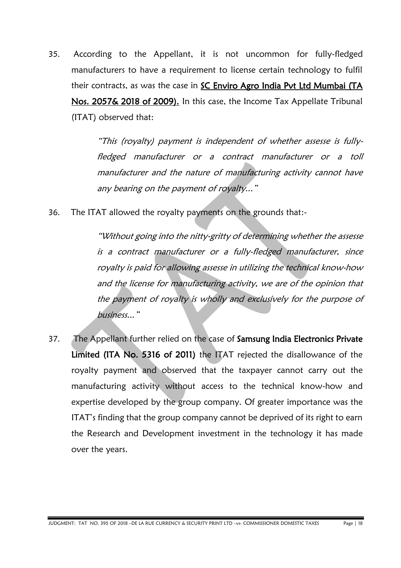35. According to the Appellant, it is not uncommon for fully-fledged manufacturers to have a requirement to license certain technology to fulfil their contracts, as was the case in SC Enviro Agro India Pvt Ltd Mumbai (TA Nos. 2057& 2018 of 2009). In this case, the Income Tax Appellate Tribunal (ITAT) observed that:

> "This (royalty) payment is independent of whether assesse is fullyfledged manufacturer or a contract manufacturer or a toll manufacturer and the nature of manufacturing activity cannot have any bearing on the payment of royalty..."

36. The ITAT allowed the royalty payments on the grounds that:-

"Without going into the nitty-gritty of determining whether the assesse is a contract manufacturer or a fully-fledged manufacturer, since royalty is paid for allowing assesse in utilizing the technical know-how and the license for manufacturing activity, we are of the opinion that the payment of royalty is wholly and exclusively for the purpose of business..."

37. The Appellant further relied on the case of Samsung India Electronics Private Limited (ITA No. 5316 of 2011) the ITAT rejected the disallowance of the royalty payment and observed that the taxpayer cannot carry out the manufacturing activity without access to the technical know-how and expertise developed by the group company. Of greater importance was the ITAT's finding that the group company cannot be deprived of its right to earn the Research and Development investment in the technology it has made over the years.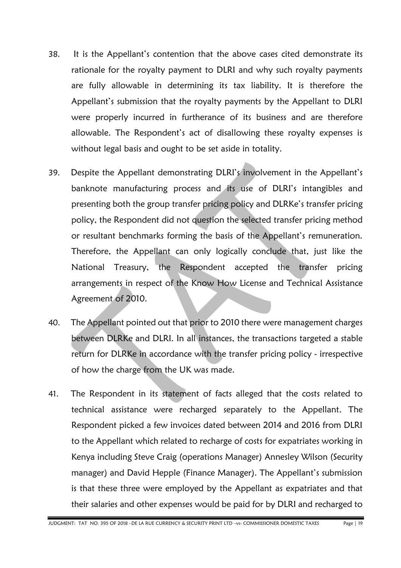- 38. It is the Appellant's contention that the above cases cited demonstrate its rationale for the royalty payment to DLRI and why such royalty payments are fully allowable in determining its tax liability. It is therefore the Appellant's submission that the royalty payments by the Appellant to DLRI were properly incurred in furtherance of its business and are therefore allowable. The Respondent's act of disallowing these royalty expenses is without legal basis and ought to be set aside in totality.
- 39. Despite the Appellant demonstrating DLRI's involvement in the Appellant's banknote manufacturing process and its use of DLRI's intangibles and presenting both the group transfer pricing policy and DLRKe's transfer pricing policy, the Respondent did not question the selected transfer pricing method or resultant benchmarks forming the basis of the Appellant's remuneration. Therefore, the Appellant can only logically conclude that, just like the National Treasury, the Respondent accepted the transfer pricing arrangements in respect of the Know How License and Technical Assistance Agreement of 2010.
- 40. The Appellant pointed out that prior to 2010 there were management charges between DLRKe and DLRI. In all instances, the transactions targeted a stable return for DLRKe in accordance with the transfer pricing policy - irrespective of how the charge from the UK was made.
- 41. The Respondent in its statement of facts alleged that the costs related to technical assistance were recharged separately to the Appellant. The Respondent picked a few invoices dated between 2014 and 2016 from DLRI to the Appellant which related to recharge of costs for expatriates working in Kenya including Steve Craig (operations Manager) Annesley Wilson (Security manager) and David Hepple (Finance Manager). The Appellant's submission is that these three were employed by the Appellant as expatriates and that their salaries and other expenses would be paid for by DLRI and recharged to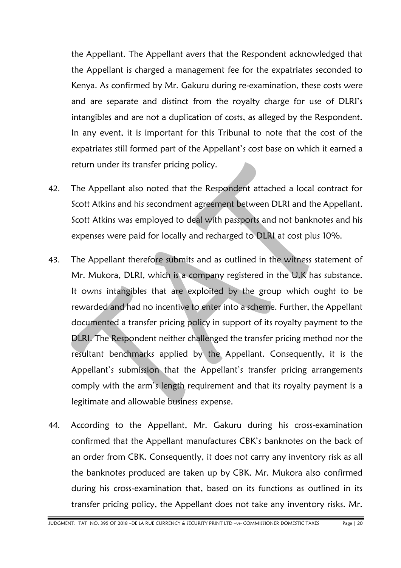the Appellant. The Appellant avers that the Respondent acknowledged that the Appellant is charged a management fee for the expatriates seconded to Kenya. As confirmed by Mr. Gakuru during re-examination, these costs were and are separate and distinct from the royalty charge for use of DLRI's intangibles and are not a duplication of costs, as alleged by the Respondent. In any event, it is important for this Tribunal to note that the cost of the expatriates still formed part of the Appellant's cost base on which it earned a return under its transfer pricing policy.

- 42. The Appellant also noted that the Respondent attached a local contract for Scott Atkins and his secondment agreement between DLRI and the Appellant. Scott Atkins was employed to deal with passports and not banknotes and his expenses were paid for locally and recharged to DLRI at cost plus 10%.
- 43. The Appellant therefore submits and as outlined in the witness statement of Mr. Mukora, DLRI, which is a company registered in the U.K has substance. It owns intangibles that are exploited by the group which ought to be rewarded and had no incentive to enter into a scheme. Further, the Appellant documented a transfer pricing policy in support of its royalty payment to the DLRI. The Respondent neither challenged the transfer pricing method nor the resultant benchmarks applied by the Appellant. Consequently, it is the Appellant's submission that the Appellant's transfer pricing arrangements comply with the arm's length requirement and that its royalty payment is a legitimate and allowable business expense.
- 44. According to the Appellant, Mr. Gakuru during his cross-examination confirmed that the Appellant manufactures CBK's banknotes on the back of an order from CBK. Consequently, it does not carry any inventory risk as all the banknotes produced are taken up by CBK. Mr. Mukora also confirmed during his cross-examination that, based on its functions as outlined in its transfer pricing policy, the Appellant does not take any inventory risks. Mr.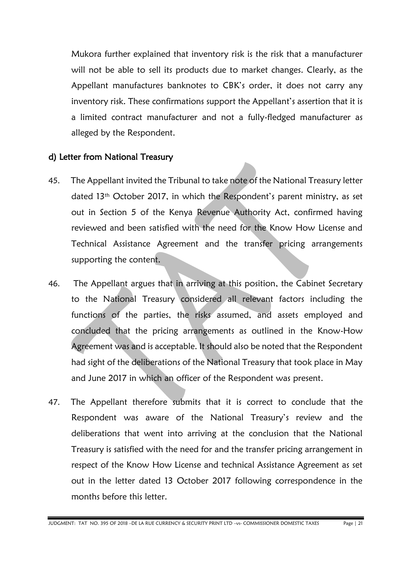Mukora further explained that inventory risk is the risk that a manufacturer will not be able to sell its products due to market changes. Clearly, as the Appellant manufactures banknotes to CBK's order, it does not carry any inventory risk. These confirmations support the Appellant's assertion that it is a limited contract manufacturer and not a fully-fledged manufacturer as alleged by the Respondent.

#### d) Letter from National Treasury

- 45. The Appellant invited the Tribunal to take note of the National Treasury letter dated 13th October 2017, in which the Respondent's parent ministry, as set out in Section 5 of the Kenya Revenue Authority Act, confirmed having reviewed and been satisfied with the need for the Know How License and Technical Assistance Agreement and the transfer pricing arrangements supporting the content.
- 46. The Appellant argues that in arriving at this position, the Cabinet Secretary to the National Treasury considered all relevant factors including the functions of the parties, the risks assumed, and assets employed and concluded that the pricing arrangements as outlined in the Know-How Agreement was and is acceptable. It should also be noted that the Respondent had sight of the deliberations of the National Treasury that took place in May and June 2017 in which an officer of the Respondent was present.
- 47. The Appellant therefore submits that it is correct to conclude that the Respondent was aware of the National Treasury's review and the deliberations that went into arriving at the conclusion that the National Treasury is satisfied with the need for and the transfer pricing arrangement in respect of the Know How License and technical Assistance Agreement as set out in the letter dated 13 October 2017 following correspondence in the months before this letter.

JUDGMENT: TAT NO. 395 OF 2018 –DE LA RUE CURRENCY & SECURITY PRINT LTD –vs- COMMISSIONER DOMESTIC TAXES Page | 21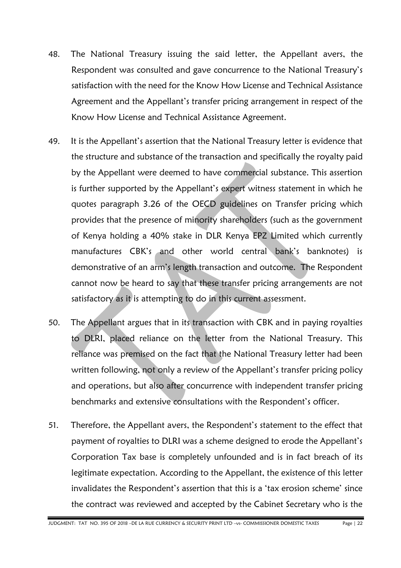- 48. The National Treasury issuing the said letter, the Appellant avers, the Respondent was consulted and gave concurrence to the National Treasury's satisfaction with the need for the Know How License and Technical Assistance Agreement and the Appellant's transfer pricing arrangement in respect of the Know How License and Technical Assistance Agreement.
- 49. It is the Appellant's assertion that the National Treasury letter is evidence that the structure and substance of the transaction and specifically the royalty paid by the Appellant were deemed to have commercial substance. This assertion is further supported by the Appellant's expert witness statement in which he quotes paragraph 3.26 of the OECD guidelines on Transfer pricing which provides that the presence of minority shareholders (such as the government of Kenya holding a 40% stake in DLR Kenya EPZ Limited which currently manufactures CBK's and other world central bank's banknotes) is demonstrative of an arm's length transaction and outcome. The Respondent cannot now be heard to say that these transfer pricing arrangements are not satisfactory as it is attempting to do in this current assessment.
- 50. The Appellant argues that in its transaction with CBK and in paying royalties to DLRI, placed reliance on the letter from the National Treasury. This reliance was premised on the fact that the National Treasury letter had been written following, not only a review of the Appellant's transfer pricing policy and operations, but also after concurrence with independent transfer pricing benchmarks and extensive consultations with the Respondent's officer.
- 51. Therefore, the Appellant avers, the Respondent's statement to the effect that payment of royalties to DLRI was a scheme designed to erode the Appellant's Corporation Tax base is completely unfounded and is in fact breach of its legitimate expectation. According to the Appellant, the existence of this letter invalidates the Respondent's assertion that this is a 'tax erosion scheme' since the contract was reviewed and accepted by the Cabinet Secretary who is the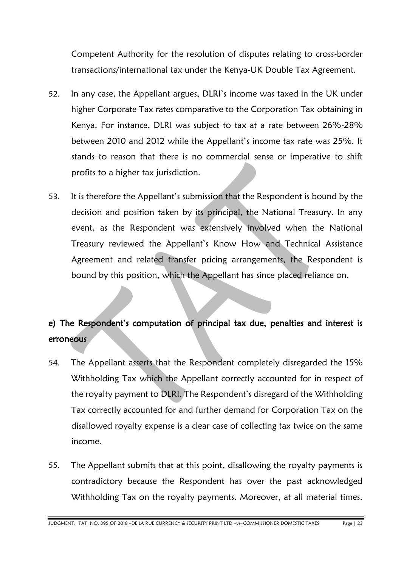Competent Authority for the resolution of disputes relating to cross-border transactions/international tax under the Kenya-UK Double Tax Agreement.

- 52. In any case, the Appellant argues, DLRI's income was taxed in the UK under higher Corporate Tax rates comparative to the Corporation Tax obtaining in Kenya. For instance, DLRI was subject to tax at a rate between 26%-28% between 2010 and 2012 while the Appellant's income tax rate was 25%. It stands to reason that there is no commercial sense or imperative to shift profits to a higher tax jurisdiction.
- 53. It is therefore the Appellant's submission that the Respondent is bound by the decision and position taken by its principal, the National Treasury. In any event, as the Respondent was extensively involved when the National Treasury reviewed the Appellant's Know How and Technical Assistance Agreement and related transfer pricing arrangements, the Respondent is bound by this position, which the Appellant has since placed reliance on.

## e) The Respondent's computation of principal tax due, penalties and interest is erroneous

- 54. The Appellant asserts that the Respondent completely disregarded the 15% Withholding Tax which the Appellant correctly accounted for in respect of the royalty payment to DLRI. The Respondent's disregard of the Withholding Tax correctly accounted for and further demand for Corporation Tax on the disallowed royalty expense is a clear case of collecting tax twice on the same income.
- 55. The Appellant submits that at this point, disallowing the royalty payments is contradictory because the Respondent has over the past acknowledged Withholding Tax on the royalty payments. Moreover, at all material times.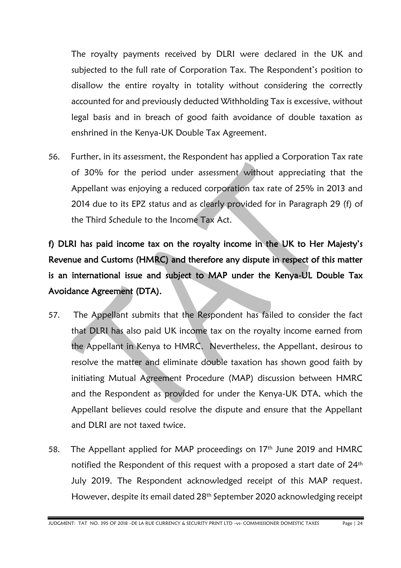The royalty payments received by DLRI were declared in the UK and subjected to the full rate of Corporation Tax. The Respondent's position to disallow the entire royalty in totality without considering the correctly accounted for and previously deducted Withholding Tax is excessive, without legal basis and in breach of good faith avoidance of double taxation as enshrined in the Kenya-UK Double Tax Agreement.

56. Further, in its assessment, the Respondent has applied a Corporation Tax rate of 30% for the period under assessment without appreciating that the Appellant was enjoying a reduced corporation tax rate of 25% in 2013 and 2014 due to its EPZ status and as clearly provided for in Paragraph 29 (f) of the Third Schedule to the Income Tax Act.

f) DLRI has paid income tax on the royalty income in the UK to Her Majesty's Revenue and Customs (HMRC) and therefore any dispute in respect of this matter is an international issue and subject to MAP under the Kenya-UL Double Tax Avoidance Agreement (DTA).

- 57. The Appellant submits that the Respondent has failed to consider the fact that DLRI has also paid UK income tax on the royalty income earned from the Appellant in Kenya to HMRC. Nevertheless, the Appellant, desirous to resolve the matter and eliminate double taxation has shown good faith by initiating Mutual Agreement Procedure (MAP) discussion between HMRC and the Respondent as provided for under the Kenya-UK DTA, which the Appellant believes could resolve the dispute and ensure that the Appellant and DLRI are not taxed twice.
- 58. The Appellant applied for MAP proceedings on 17<sup>th</sup> June 2019 and HMRC notified the Respondent of this request with a proposed a start date of 24<sup>th</sup> July 2019. The Respondent acknowledged receipt of this MAP request. However, despite its email dated 28th September 2020 acknowledging receipt

JUDGMENT: TAT NO. 395 OF 2018 –DE LA RUE CURRENCY & SECURITY PRINT LTD –vs- COMMISSIONER DOMESTIC TAXES Page | 24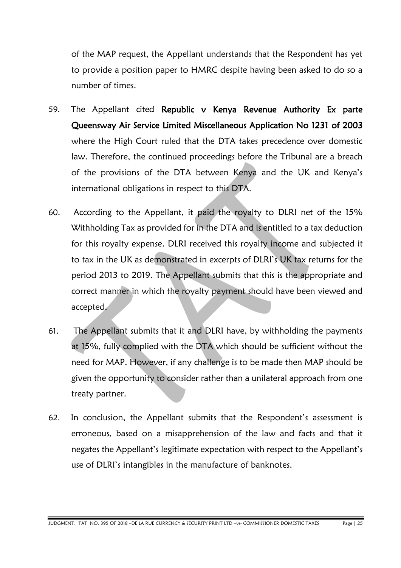of the MAP request, the Appellant understands that the Respondent has yet to provide a position paper to HMRC despite having been asked to do so a number of times.

- 59. The Appellant cited Republic v Kenya Revenue Authority Ex parte Queensway Air Service Limited Miscellaneous Application No 1231 of 2003 where the High Court ruled that the DTA takes precedence over domestic law. Therefore, the continued proceedings before the Tribunal are a breach of the provisions of the DTA between Kenya and the UK and Kenya's international obligations in respect to this DTA.
- 60. According to the Appellant, it paid the royalty to DLRI net of the 15% Withholding Tax as provided for in the DTA and is entitled to a tax deduction for this royalty expense. DLRI received this royalty income and subjected it to tax in the UK as demonstrated in excerpts of DLRI's UK tax returns for the period 2013 to 2019. The Appellant submits that this is the appropriate and correct manner in which the royalty payment should have been viewed and accepted.
- 61. The Appellant submits that it and DLRI have, by withholding the payments at 15%, fully complied with the DTA which should be sufficient without the need for MAP. However, if any challenge is to be made then MAP should be given the opportunity to consider rather than a unilateral approach from one treaty partner.
- 62. In conclusion, the Appellant submits that the Respondent's assessment is erroneous, based on a misapprehension of the law and facts and that it negates the Appellant's legitimate expectation with respect to the Appellant's use of DLRI's intangibles in the manufacture of banknotes.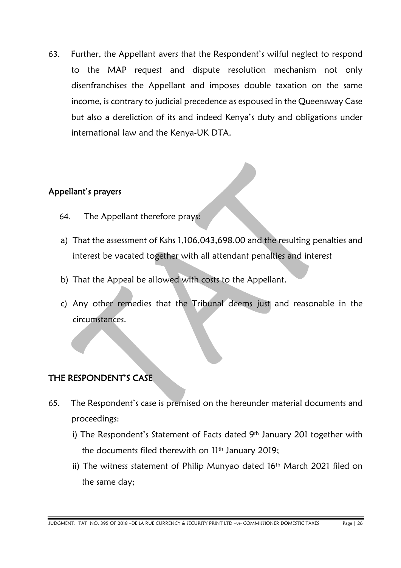63. Further, the Appellant avers that the Respondent's wilful neglect to respond to the MAP request and dispute resolution mechanism not only disenfranchises the Appellant and imposes double taxation on the same income, is contrary to judicial precedence as espoused in the Queensway Case but also a dereliction of its and indeed Kenya's duty and obligations under international law and the Kenya-UK DTA.

#### Appellant's prayers

- 64. The Appellant therefore prays:
- a) That the assessment of Kshs 1,106,043,698.00 and the resulting penalties and interest be vacated together with all attendant penalties and interest
- b) That the Appeal be allowed with costs to the Appellant.
- c) Any other remedies that the Tribunal deems just and reasonable in the circumstances.

### THE RESPONDENT'S CASE

- 65. The Respondent's case is premised on the hereunder material documents and proceedings:
	- i) The Respondent's Statement of Facts dated 9<sup>th</sup> January 201 together with the documents filed therewith on 11th January 2019;
	- ii) The witness statement of Philip Munyao dated 16<sup>th</sup> March 2021 filed on the same day;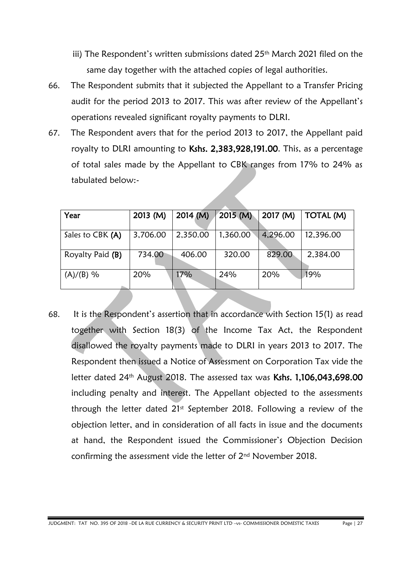- iii) The Respondent's written submissions dated 25<sup>th</sup> March 2021 filed on the same day together with the attached copies of legal authorities.
- 66. The Respondent submits that it subjected the Appellant to a Transfer Pricing audit for the period 2013 to 2017. This was after review of the Appellant's operations revealed significant royalty payments to DLRI.
- 67. The Respondent avers that for the period 2013 to 2017, the Appellant paid royalty to DLRI amounting to Kshs. 2,383,928,191.00. This, as a percentage of total sales made by the Appellant to CBK ranges from 17% to 24% as tabulated below:-

| Year             | $2013$ (M) | 2014 (M) | 2015 (M) | 2017 (M) | TOTAL (M) |
|------------------|------------|----------|----------|----------|-----------|
| Sales to CBK (A) | 3,706.00   | 2,350.00 | 1,360.00 | 4,296.00 | 12,396.00 |
| Royalty Paid (B) | 734.00     | 406.00   | 320.00   | 829.00   | 2,384.00  |
| $(A)/(B)$ %      | 20%        | 17%      | 24%      | 20%      | 19%       |

68. It is the Respondent's assertion that in accordance with Section 15(1) as read together with Section 18(3) of the Income Tax Act, the Respondent disallowed the royalty payments made to DLRI in years 2013 to 2017. The Respondent then issued a Notice of Assessment on Corporation Tax vide the letter dated 24th August 2018. The assessed tax was Kshs. 1,106,043,698.00 including penalty and interest. The Appellant objected to the assessments through the letter dated  $21<sup>st</sup>$  September 2018. Following a review of the objection letter, and in consideration of all facts in issue and the documents at hand, the Respondent issued the Commissioner's Objection Decision confirming the assessment vide the letter of 2nd November 2018.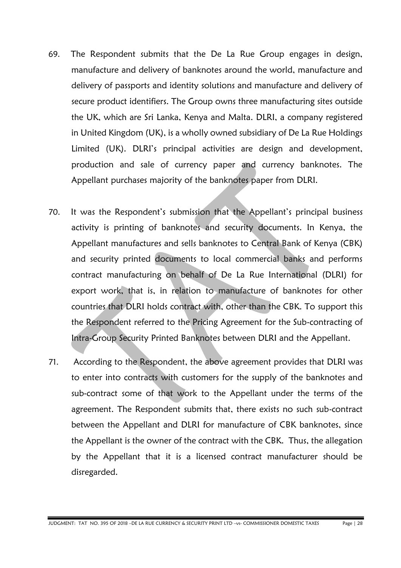- 69. The Respondent submits that the De La Rue Group engages in design, manufacture and delivery of banknotes around the world, manufacture and delivery of passports and identity solutions and manufacture and delivery of secure product identifiers. The Group owns three manufacturing sites outside the UK, which are Sri Lanka, Kenya and Malta. DLRI, a company registered in United Kingdom (UK), is a wholly owned subsidiary of De La Rue Holdings Limited (UK). DLRI's principal activities are design and development, production and sale of currency paper and currency banknotes. The Appellant purchases majority of the banknotes paper from DLRI.
- 70. It was the Respondent's submission that the Appellant's principal business activity is printing of banknotes and security documents. In Kenya, the Appellant manufactures and sells banknotes to Central Bank of Kenya (CBK) and security printed documents to local commercial banks and performs contract manufacturing on behalf of De La Rue International (DLRI) for export work, that is, in relation to manufacture of banknotes for other countries that DLRI holds contract with, other than the CBK. To support this the Respondent referred to the Pricing Agreement for the Sub-contracting of Intra-Group Security Printed Banknotes between DLRI and the Appellant.
- 71. According to the Respondent, the above agreement provides that DLRI was to enter into contracts with customers for the supply of the banknotes and sub-contract some of that work to the Appellant under the terms of the agreement. The Respondent submits that, there exists no such sub-contract between the Appellant and DLRI for manufacture of CBK banknotes, since the Appellant is the owner of the contract with the CBK. Thus, the allegation by the Appellant that it is a licensed contract manufacturer should be disregarded.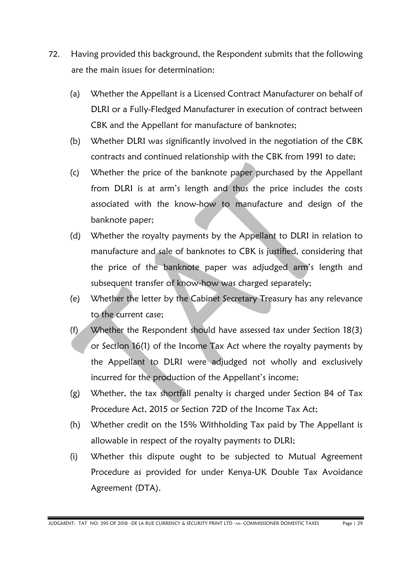- 72. Having provided this background, the Respondent submits that the following are the main issues for determination:
	- (a) Whether the Appellant is a Licensed Contract Manufacturer on behalf of DLRI or a Fully-Fledged Manufacturer in execution of contract between CBK and the Appellant for manufacture of banknotes;
	- (b) Whether DLRI was significantly involved in the negotiation of the CBK contracts and continued relationship with the CBK from 1991 to date;
	- (c) Whether the price of the banknote paper purchased by the Appellant from DLRI is at arm's length and thus the price includes the costs associated with the know-how to manufacture and design of the banknote paper;
	- (d) Whether the royalty payments by the Appellant to DLRI in relation to manufacture and sale of banknotes to CBK is justified, considering that the price of the banknote paper was adjudged arm's length and subsequent transfer of know-how was charged separately;
	- (e) Whether the letter by the Cabinet Secretary Treasury has any relevance to the current case;
	- (f) Whether the Respondent should have assessed tax under Section 18(3) or Section 16(1) of the Income Tax Act where the royalty payments by the Appellant to DLRI were adjudged not wholly and exclusively incurred for the production of the Appellant's income;
	- (g) Whether, the tax shortfall penalty is charged under Section 84 of Tax Procedure Act, 2015 or Section 72D of the Income Tax Act;
	- (h) Whether credit on the 15% Withholding Tax paid by The Appellant is allowable in respect of the royalty payments to DLRI;
	- (i) Whether this dispute ought to be subjected to Mutual Agreement Procedure as provided for under Kenya-UK Double Tax Avoidance Agreement (DTA).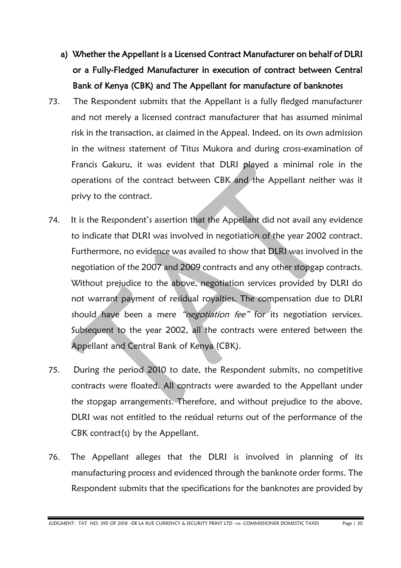- a) Whether the Appellant is a Licensed Contract Manufacturer on behalf of DLRI or a Fully-Fledged Manufacturer in execution of contract between Central Bank of Kenya (CBK) and The Appellant for manufacture of banknotes
- 73. The Respondent submits that the Appellant is a fully fledged manufacturer and not merely a licensed contract manufacturer that has assumed minimal risk in the transaction, as claimed in the Appeal. Indeed, on its own admission in the witness statement of Titus Mukora and during cross-examination of Francis Gakuru, it was evident that DLRI played a minimal role in the operations of the contract between CBK and the Appellant neither was it privy to the contract.
- 74. It is the Respondent's assertion that the Appellant did not avail any evidence to indicate that DLRI was involved in negotiation of the year 2002 contract. Furthermore, no evidence was availed to show that DLRI was involved in the negotiation of the 2007 and 2009 contracts and any other stopgap contracts. Without prejudice to the above, negotiation services provided by DLRI do not warrant payment of residual royalties. The compensation due to DLRI should have been a mere "negotiation fee" for its negotiation services. Subsequent to the year 2002, all the contracts were entered between the Appellant and Central Bank of Kenya (CBK).
- 75. During the period 2010 to date, the Respondent submits, no competitive contracts were floated. All contracts were awarded to the Appellant under the stopgap arrangements. Therefore, and without prejudice to the above, DLRI was not entitled to the residual returns out of the performance of the CBK contract(s) by the Appellant.
- 76. The Appellant alleges that the DLRI is involved in planning of its manufacturing process and evidenced through the banknote order forms. The Respondent submits that the specifications for the banknotes are provided by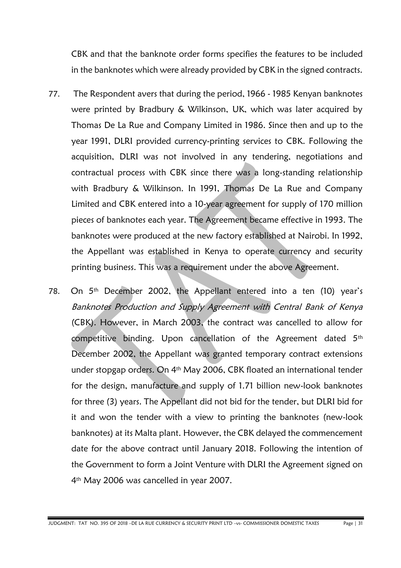CBK and that the banknote order forms specifies the features to be included in the banknotes which were already provided by CBK in the signed contracts.

- 77. The Respondent avers that during the period, 1966 1985 Kenyan banknotes were printed by Bradbury & Wilkinson, UK, which was later acquired by Thomas De La Rue and Company Limited in 1986. Since then and up to the year 1991, DLRI provided currency-printing services to CBK. Following the acquisition, DLRI was not involved in any tendering, negotiations and contractual process with CBK since there was a long-standing relationship with Bradbury & Wilkinson. In 1991, Thomas De La Rue and Company Limited and CBK entered into a 10-year agreement for supply of 170 million pieces of banknotes each year. The Agreement became effective in 1993. The banknotes were produced at the new factory established at Nairobi. In 1992, the Appellant was established in Kenya to operate currency and security printing business. This was a requirement under the above Agreement.
- 78. On 5th December 2002, the Appellant entered into a ten (10) year's Banknotes Production and Supply Agreement with Central Bank of Kenya (CBK). However, in March 2003, the contract was cancelled to allow for competitive binding. Upon cancellation of the Agreement dated 5th December 2002, the Appellant was granted temporary contract extensions under stopgap orders. On 4th May 2006, CBK floated an international tender for the design, manufacture and supply of 1.71 billion new-look banknotes for three (3) years. The Appellant did not bid for the tender, but DLRI bid for it and won the tender with a view to printing the banknotes (new-look banknotes) at its Malta plant. However, the CBK delayed the commencement date for the above contract until January 2018. Following the intention of the Government to form a Joint Venture with DLRI the Agreement signed on 4th May 2006 was cancelled in year 2007.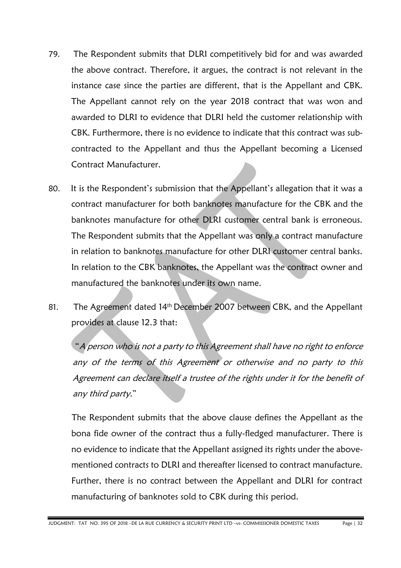- 79. The Respondent submits that DLRI competitively bid for and was awarded the above contract. Therefore, it argues, the contract is not relevant in the instance case since the parties are different, that is the Appellant and CBK. The Appellant cannot rely on the year 2018 contract that was won and awarded to DLRI to evidence that DLRI held the customer relationship with CBK. Furthermore, there is no evidence to indicate that this contract was subcontracted to the Appellant and thus the Appellant becoming a Licensed Contract Manufacturer.
- 80. It is the Respondent's submission that the Appellant's allegation that it was a contract manufacturer for both banknotes manufacture for the CBK and the banknotes manufacture for other DLRI customer central bank is erroneous. The Respondent submits that the Appellant was only a contract manufacture in relation to banknotes manufacture for other DLRI customer central banks. In relation to the CBK banknotes, the Appellant was the contract owner and manufactured the banknotes under its own name.
- 81. The Agreement dated 14<sup>th</sup> December 2007 between CBK, and the Appellant provides at clause 12.3 that:

"A person who is not a party to this Agreement shall have no right to enforce any of the terms of this Agreement or otherwise and no party to this Agreement can declare itself a trustee of the rights under it for the benefit of any third party."

 The Respondent submits that the above clause defines the Appellant as the bona fide owner of the contract thus a fully-fledged manufacturer. There is no evidence to indicate that the Appellant assigned its rights under the abovementioned contracts to DLRI and thereafter licensed to contract manufacture. Further, there is no contract between the Appellant and DLRI for contract manufacturing of banknotes sold to CBK during this period.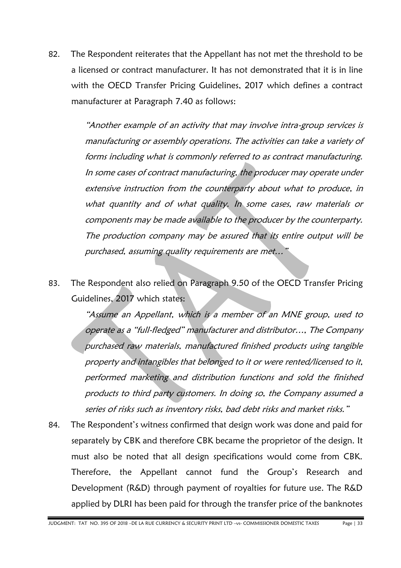82. The Respondent reiterates that the Appellant has not met the threshold to be a licensed or contract manufacturer. It has not demonstrated that it is in line with the OECD Transfer Pricing Guidelines, 2017 which defines a contract manufacturer at Paragraph 7.40 as follows:

> "Another example of an activity that may involve intra-group services is manufacturing or assembly operations. The activities can take a variety of forms including what is commonly referred to as contract manufacturing. In some cases of contract manufacturing, the producer may operate under extensive instruction from the counterparty about what to produce, in what quantity and of what quality. In some cases, raw materials or components may be made available to the producer by the counterparty. The production company may be assured that its entire output will be purchased, assuming quality requirements are met…"

83. The Respondent also relied on Paragraph 9.50 of the OECD Transfer Pricing Guidelines, 2017 which states:

> "Assume an Appellant, which is a member of an MNE group, used to operate as a "full-fledged" manufacturer and distributor…, The Company purchased raw materials, manufactured finished products using tangible property and intangibles that belonged to it or were rented/licensed to it, performed marketing and distribution functions and sold the finished products to third party customers. In doing so, the Company assumed a series of risks such as inventory risks, bad debt risks and market risks."

84. The Respondent's witness confirmed that design work was done and paid for separately by CBK and therefore CBK became the proprietor of the design. It must also be noted that all design specifications would come from CBK. Therefore, the Appellant cannot fund the Group's Research and Development (R&D) through payment of royalties for future use. The R&D applied by DLRI has been paid for through the transfer price of the banknotes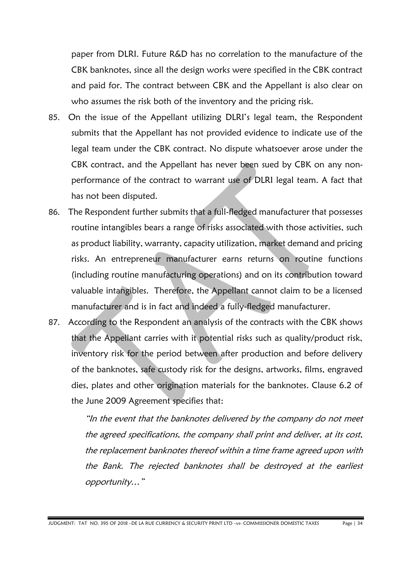paper from DLRI. Future R&D has no correlation to the manufacture of the CBK banknotes, since all the design works were specified in the CBK contract and paid for. The contract between CBK and the Appellant is also clear on who assumes the risk both of the inventory and the pricing risk.

- 85. On the issue of the Appellant utilizing DLRI's legal team, the Respondent submits that the Appellant has not provided evidence to indicate use of the legal team under the CBK contract. No dispute whatsoever arose under the CBK contract, and the Appellant has never been sued by CBK on any nonperformance of the contract to warrant use of DLRI legal team. A fact that has not been disputed.
- 86. The Respondent further submits that a full-fledged manufacturer that possesses routine intangibles bears a range of risks associated with those activities, such as product liability, warranty, capacity utilization, market demand and pricing risks. An entrepreneur manufacturer earns returns on routine functions (including routine manufacturing operations) and on its contribution toward valuable intangibles. Therefore, the Appellant cannot claim to be a licensed manufacturer and is in fact and indeed a fully-fledged manufacturer.
- 87. According to the Respondent an analysis of the contracts with the CBK shows that the Appellant carries with it potential risks such as quality/product risk, inventory risk for the period between after production and before delivery of the banknotes, safe custody risk for the designs, artworks, films, engraved dies, plates and other origination materials for the banknotes. Clause 6.2 of the June 2009 Agreement specifies that:

"In the event that the banknotes delivered by the company do not meet the agreed specifications, the company shall print and deliver, at its cost, the replacement banknotes thereof within a time frame agreed upon with the Bank. The rejected banknotes shall be destroyed at the earliest opportunity…"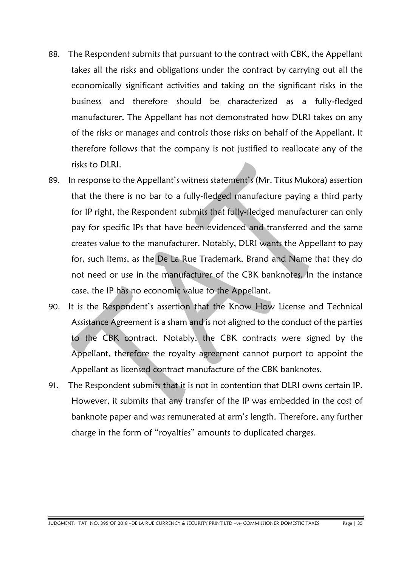- 88. The Respondent submits that pursuant to the contract with CBK, the Appellant takes all the risks and obligations under the contract by carrying out all the economically significant activities and taking on the significant risks in the business and therefore should be characterized as a fully-fledged manufacturer. The Appellant has not demonstrated how DLRI takes on any of the risks or manages and controls those risks on behalf of the Appellant. It therefore follows that the company is not justified to reallocate any of the risks to DLRI.
- 89. In response to the Appellant's witness statement's (Mr. Titus Mukora) assertion that the there is no bar to a fully-fledged manufacture paying a third party for IP right, the Respondent submits that fully-fledged manufacturer can only pay for specific IPs that have been evidenced and transferred and the same creates value to the manufacturer. Notably, DLRI wants the Appellant to pay for, such items, as the De La Rue Trademark, Brand and Name that they do not need or use in the manufacturer of the CBK banknotes. In the instance case, the IP has no economic value to the Appellant.
- 90. It is the Respondent's assertion that the Know How License and Technical Assistance Agreement is a sham and is not aligned to the conduct of the parties to the CBK contract. Notably, the CBK contracts were signed by the Appellant, therefore the royalty agreement cannot purport to appoint the Appellant as licensed contract manufacture of the CBK banknotes.
- 91. The Respondent submits that it is not in contention that DLRI owns certain IP. However, it submits that any transfer of the IP was embedded in the cost of banknote paper and was remunerated at arm's length. Therefore, any further charge in the form of "royalties" amounts to duplicated charges.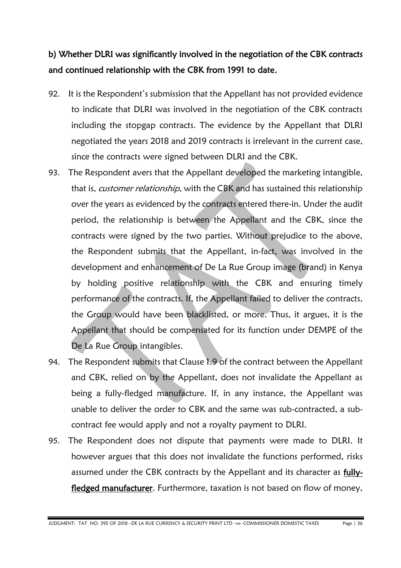## b) Whether DLRI was significantly involved in the negotiation of the CBK contracts and continued relationship with the CBK from 1991 to date.

- 92. It is the Respondent's submission that the Appellant has not provided evidence to indicate that DLRI was involved in the negotiation of the CBK contracts including the stopgap contracts. The evidence by the Appellant that DLRI negotiated the years 2018 and 2019 contracts is irrelevant in the current case, since the contracts were signed between DLRI and the CBK.
- 93. The Respondent avers that the Appellant developed the marketing intangible, that is, customer relationship, with the CBK and has sustained this relationship over the years as evidenced by the contracts entered there-in. Under the audit period, the relationship is between the Appellant and the CBK, since the contracts were signed by the two parties. Without prejudice to the above, the Respondent submits that the Appellant, in-fact, was involved in the development and enhancement of De La Rue Group image (brand) in Kenya by holding positive relationship with the CBK and ensuring timely performance of the contracts. If, the Appellant failed to deliver the contracts, the Group would have been blacklisted, or more. Thus, it argues, it is the Appellant that should be compensated for its function under DEMPE of the De La Rue Group intangibles.
- 94. The Respondent submits that Clause 1.9 of the contract between the Appellant and CBK, relied on by the Appellant, does not invalidate the Appellant as being a fully-fledged manufacture. If, in any instance, the Appellant was unable to deliver the order to CBK and the same was sub-contracted, a subcontract fee would apply and not a royalty payment to DLRI.
- 95. The Respondent does not dispute that payments were made to DLRI. It however argues that this does not invalidate the functions performed, risks assumed under the CBK contracts by the Appellant and its character as fullyfledged manufacturer. Furthermore, taxation is not based on flow of money,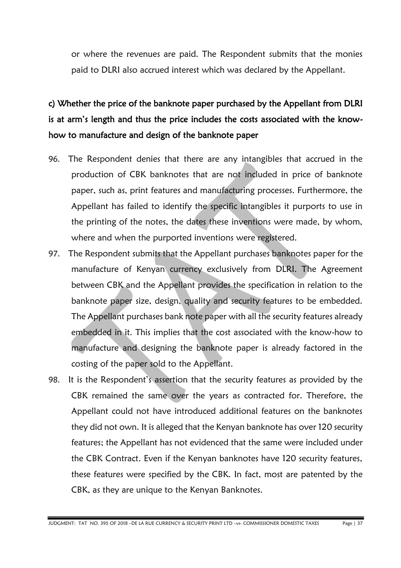or where the revenues are paid. The Respondent submits that the monies paid to DLRI also accrued interest which was declared by the Appellant.

# c) Whether the price of the banknote paper purchased by the Appellant from DLRI is at arm's length and thus the price includes the costs associated with the knowhow to manufacture and design of the banknote paper

- 96. The Respondent denies that there are any intangibles that accrued in the production of CBK banknotes that are not included in price of banknote paper, such as, print features and manufacturing processes. Furthermore, the Appellant has failed to identify the specific intangibles it purports to use in the printing of the notes, the dates these inventions were made, by whom, where and when the purported inventions were registered.
- 97. The Respondent submits that the Appellant purchases banknotes paper for the manufacture of Kenyan currency exclusively from DLRI. The Agreement between CBK and the Appellant provides the specification in relation to the banknote paper size, design, quality and security features to be embedded. The Appellant purchases bank note paper with all the security features already embedded in it. This implies that the cost associated with the know-how to manufacture and designing the banknote paper is already factored in the costing of the paper sold to the Appellant.
- 98. It is the Respondent's assertion that the security features as provided by the CBK remained the same over the years as contracted for. Therefore, the Appellant could not have introduced additional features on the banknotes they did not own. It is alleged that the Kenyan banknote has over 120 security features; the Appellant has not evidenced that the same were included under the CBK Contract. Even if the Kenyan banknotes have 120 security features, these features were specified by the CBK. In fact, most are patented by the CBK, as they are unique to the Kenyan Banknotes.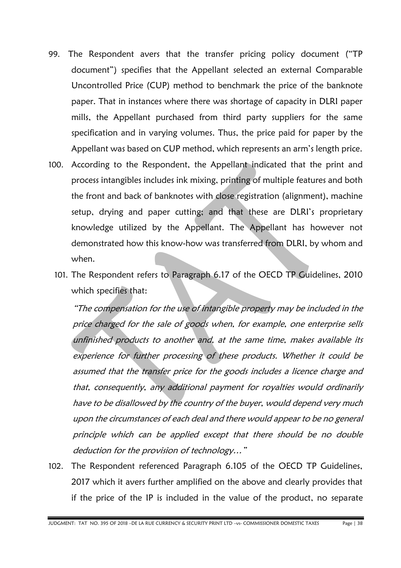- 99. The Respondent avers that the transfer pricing policy document ("TP document") specifies that the Appellant selected an external Comparable Uncontrolled Price (CUP) method to benchmark the price of the banknote paper. That in instances where there was shortage of capacity in DLRI paper mills, the Appellant purchased from third party suppliers for the same specification and in varying volumes. Thus, the price paid for paper by the Appellant was based on CUP method, which represents an arm's length price.
- 100. According to the Respondent, the Appellant indicated that the print and process intangibles includes ink mixing, printing of multiple features and both the front and back of banknotes with close registration (alignment), machine setup, drying and paper cutting; and that these are DLRI's proprietary knowledge utilized by the Appellant. The Appellant has however not demonstrated how this know-how was transferred from DLRI, by whom and when.
	- 101. The Respondent refers to Paragraph 6.17 of the OECD TP Guidelines, 2010 which specifies that:

"The compensation for the use of intangible property may be included in the price charged for the sale of goods when, for example, one enterprise sells unfinished products to another and, at the same time, makes available its experience for further processing of these products. Whether it could be assumed that the transfer price for the goods includes a licence charge and that, consequently, any additional payment for royalties would ordinarily have to be disallowed by the country of the buyer, would depend very much upon the circumstances of each deal and there would appear to be no general principle which can be applied except that there should be no double deduction for the provision of technology…"

102. The Respondent referenced Paragraph 6.105 of the OECD TP Guidelines, 2017 which it avers further amplified on the above and clearly provides that if the price of the IP is included in the value of the product, no separate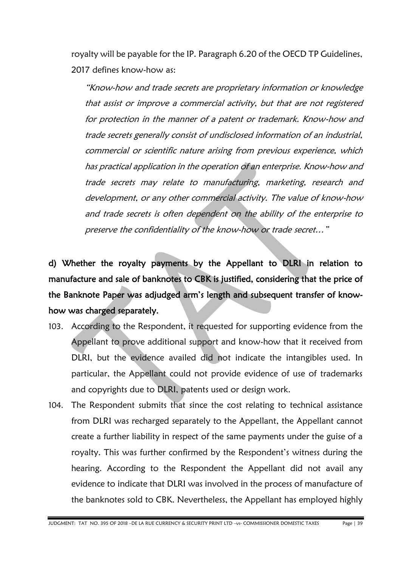royalty will be payable for the IP. Paragraph 6.20 of the OECD TP Guidelines, 2017 defines know-how as:

"Know-how and trade secrets are proprietary information or knowledge that assist or improve a commercial activity, but that are not registered for protection in the manner of a patent or trademark. Know-how and trade secrets generally consist of undisclosed information of an industrial, commercial or scientific nature arising from previous experience, which has practical application in the operation of an enterprise. Know-how and trade secrets may relate to manufacturing, marketing, research and development, or any other commercial activity. The value of know-how and trade secrets is often dependent on the ability of the enterprise to preserve the confidentiality of the know-how or trade secret…"

d) Whether the royalty payments by the Appellant to DLRI in relation to manufacture and sale of banknotes to CBK is justified, considering that the price of the Banknote Paper was adjudged arm's length and subsequent transfer of knowhow was charged separately.

- 103. According to the Respondent, it requested for supporting evidence from the Appellant to prove additional support and know-how that it received from DLRI, but the evidence availed did not indicate the intangibles used. In particular, the Appellant could not provide evidence of use of trademarks and copyrights due to DLRI, patents used or design work.
- 104. The Respondent submits that since the cost relating to technical assistance from DLRI was recharged separately to the Appellant, the Appellant cannot create a further liability in respect of the same payments under the guise of a royalty. This was further confirmed by the Respondent's witness during the hearing. According to the Respondent the Appellant did not avail any evidence to indicate that DLRI was involved in the process of manufacture of the banknotes sold to CBK. Nevertheless, the Appellant has employed highly

JUDGMENT: TAT NO. 395 OF 2018 –DE LA RUE CURRENCY & SECURITY PRINT LTD –vs- COMMISSIONER DOMESTIC TAXES Page | 39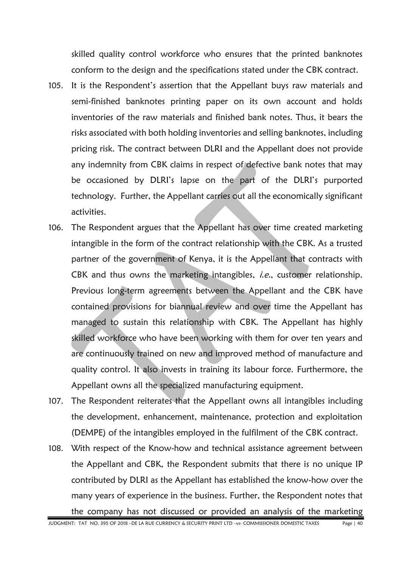skilled quality control workforce who ensures that the printed banknotes conform to the design and the specifications stated under the CBK contract.

- 105. It is the Respondent's assertion that the Appellant buys raw materials and semi-finished banknotes printing paper on its own account and holds inventories of the raw materials and finished bank notes. Thus, it bears the risks associated with both holding inventories and selling banknotes, including pricing risk. The contract between DLRI and the Appellant does not provide any indemnity from CBK claims in respect of defective bank notes that may be occasioned by DLRI's lapse on the part of the DLRI's purported technology. Further, the Appellant carries out all the economically significant activities.
- 106. The Respondent argues that the Appellant has over time created marketing intangible in the form of the contract relationship with the CBK. As a trusted partner of the government of Kenya, it is the Appellant that contracts with CBK and thus owns the marketing intangibles, *i.e.*, customer relationship. Previous long-term agreements between the Appellant and the CBK have contained provisions for biannual review and over time the Appellant has managed to sustain this relationship with CBK. The Appellant has highly skilled workforce who have been working with them for over ten years and are continuously trained on new and improved method of manufacture and quality control. It also invests in training its labour force. Furthermore, the Appellant owns all the specialized manufacturing equipment.
- 107. The Respondent reiterates that the Appellant owns all intangibles including the development, enhancement, maintenance, protection and exploitation (DEMPE) of the intangibles employed in the fulfilment of the CBK contract.
- 108. With respect of the Know-how and technical assistance agreement between the Appellant and CBK, the Respondent submits that there is no unique IP contributed by DLRI as the Appellant has established the know-how over the many years of experience in the business. Further, the Respondent notes that the company has not discussed or provided an analysis of the marketing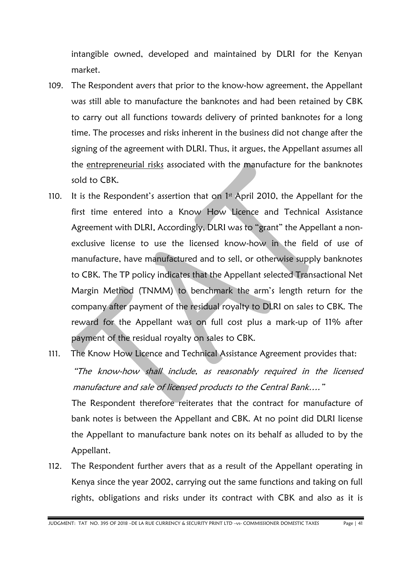intangible owned, developed and maintained by DLRI for the Kenyan market.

- 109. The Respondent avers that prior to the know-how agreement, the Appellant was still able to manufacture the banknotes and had been retained by CBK to carry out all functions towards delivery of printed banknotes for a long time. The processes and risks inherent in the business did not change after the signing of the agreement with DLRI. Thus, it argues, the Appellant assumes all the entrepreneurial risks associated with the manufacture for the banknotes sold to CBK.
- 110. It is the Respondent's assertion that on  $1<sup>st</sup>$  April 2010, the Appellant for the first time entered into a Know How Licence and Technical Assistance Agreement with DLRI. Accordingly, DLRI was to "grant" the Appellant a nonexclusive license to use the licensed know-how in the field of use of manufacture, have manufactured and to sell, or otherwise supply banknotes to CBK. The TP policy indicates that the Appellant selected Transactional Net Margin Method (TNMM) to benchmark the arm's length return for the company after payment of the residual royalty to DLRI on sales to CBK. The reward for the Appellant was on full cost plus a mark-up of 11% after payment of the residual royalty on sales to CBK.
- 111. The Know How Licence and Technical Assistance Agreement provides that: "The know-how shall include, as reasonably required in the licensed manufacture and sale of licensed products to the Central Bank…." The Respondent therefore reiterates that the contract for manufacture of bank notes is between the Appellant and CBK. At no point did DLRI license the Appellant to manufacture bank notes on its behalf as alluded to by the
- 112. The Respondent further avers that as a result of the Appellant operating in Kenya since the year 2002, carrying out the same functions and taking on full rights, obligations and risks under its contract with CBK and also as it is

Appellant.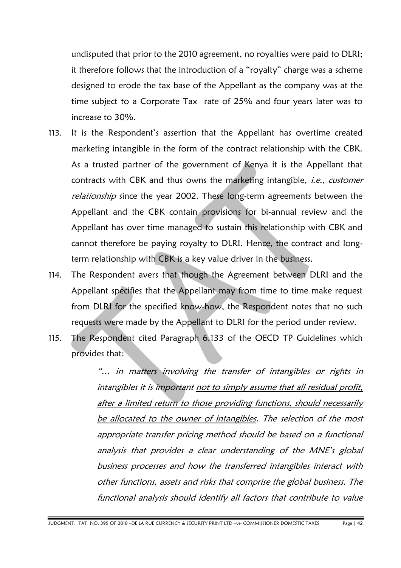undisputed that prior to the 2010 agreement, no royalties were paid to DLRI; it therefore follows that the introduction of a "royalty" charge was a scheme designed to erode the tax base of the Appellant as the company was at the time subject to a Corporate Tax rate of 25% and four years later was to increase to 30%.

- 113. It is the Respondent's assertion that the Appellant has overtime created marketing intangible in the form of the contract relationship with the CBK. As a trusted partner of the government of Kenya it is the Appellant that contracts with CBK and thus owns the marketing intangible, *i.e.*, customer relationship since the year 2002. These long-term agreements between the Appellant and the CBK contain provisions for bi-annual review and the Appellant has over time managed to sustain this relationship with CBK and cannot therefore be paying royalty to DLRI. Hence, the contract and longterm relationship with CBK is a key value driver in the business.
- 114. The Respondent avers that though the Agreement between DLRI and the Appellant specifies that the Appellant may from time to time make request from DLRI for the specified know-how, the Respondent notes that no such requests were made by the Appellant to DLRI for the period under review.
- 115. The Respondent cited Paragraph 6.133 of the OECD TP Guidelines which provides that:

"… in matters involving the transfer of intangibles or rights in intangibles it is important not to simply assume that all residual profit, after a limited return to those providing functions, should necessarily be allocated to the owner of intangibles. The selection of the most appropriate transfer pricing method should be based on a functional analysis that provides a clear understanding of the MNE's global business processes and how the transferred intangibles interact with other functions, assets and risks that comprise the global business. The functional analysis should identify all factors that contribute to value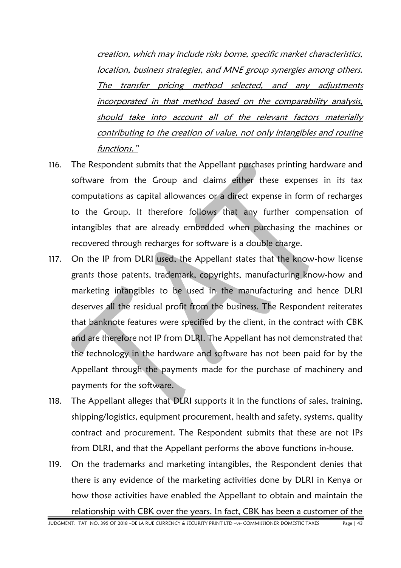creation, which may include risks borne, specific market characteristics, location, business strategies, and MNE group synergies among others. The transfer pricing method selected, and any adjustments incorporated in that method based on the comparability analysis, should take into account all of the relevant factors materially contributing to the creation of value, not only intangibles and routine functions."

- 116. The Respondent submits that the Appellant purchases printing hardware and software from the Group and claims either these expenses in its tax computations as capital allowances or a direct expense in form of recharges to the Group. It therefore follows that any further compensation of intangibles that are already embedded when purchasing the machines or recovered through recharges for software is a double charge.
- 117. On the IP from DLRI used, the Appellant states that the know-how license grants those patents, trademark, copyrights, manufacturing know-how and marketing intangibles to be used in the manufacturing and hence DLRI deserves all the residual profit from the business. The Respondent reiterates that banknote features were specified by the client, in the contract with CBK and are therefore not IP from DLRI. The Appellant has not demonstrated that the technology in the hardware and software has not been paid for by the Appellant through the payments made for the purchase of machinery and payments for the software.
- 118. The Appellant alleges that DLRI supports it in the functions of sales, training, shipping/logistics, equipment procurement, health and safety, systems, quality contract and procurement. The Respondent submits that these are not IPs from DLRI, and that the Appellant performs the above functions in-house.
- 119. On the trademarks and marketing intangibles, the Respondent denies that there is any evidence of the marketing activities done by DLRI in Kenya or how those activities have enabled the Appellant to obtain and maintain the relationship with CBK over the years. In fact, CBK has been a customer of the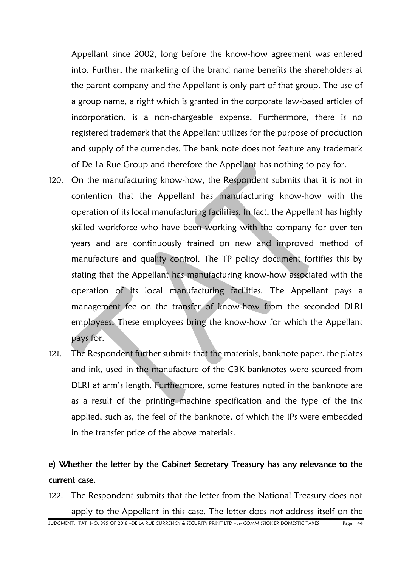Appellant since 2002, long before the know-how agreement was entered into. Further, the marketing of the brand name benefits the shareholders at the parent company and the Appellant is only part of that group. The use of a group name, a right which is granted in the corporate law-based articles of incorporation, is a non-chargeable expense. Furthermore, there is no registered trademark that the Appellant utilizes for the purpose of production and supply of the currencies. The bank note does not feature any trademark of De La Rue Group and therefore the Appellant has nothing to pay for.

- 120. On the manufacturing know-how, the Respondent submits that it is not in contention that the Appellant has manufacturing know-how with the operation of its local manufacturing facilities. In fact, the Appellant has highly skilled workforce who have been working with the company for over ten years and are continuously trained on new and improved method of manufacture and quality control. The TP policy document fortifies this by stating that the Appellant has manufacturing know-how associated with the operation of its local manufacturing facilities. The Appellant pays a management fee on the transfer of know-how from the seconded DLRI employees. These employees bring the know-how for which the Appellant pays for.
- 121. The Respondent further submits that the materials, banknote paper, the plates and ink, used in the manufacture of the CBK banknotes were sourced from DLRI at arm's length. Furthermore, some features noted in the banknote are as a result of the printing machine specification and the type of the ink applied, such as, the feel of the banknote, of which the IPs were embedded in the transfer price of the above materials.

### e) Whether the letter by the Cabinet Secretary Treasury has any relevance to the current case.

122. The Respondent submits that the letter from the National Treasury does not apply to the Appellant in this case. The letter does not address itself on the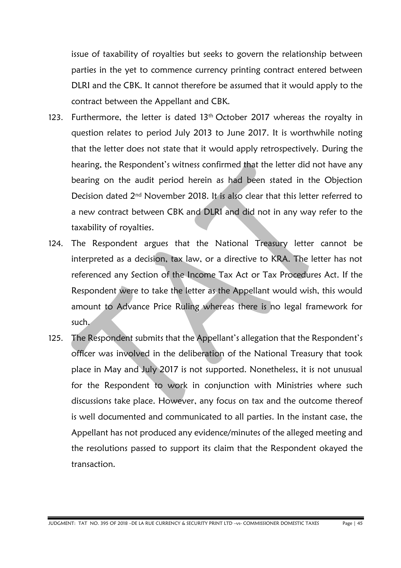issue of taxability of royalties but seeks to govern the relationship between parties in the yet to commence currency printing contract entered between DLRI and the CBK. It cannot therefore be assumed that it would apply to the contract between the Appellant and CBK.

- 123. Furthermore, the letter is dated  $13<sup>th</sup>$  October 2017 whereas the royalty in question relates to period July 2013 to June 2017. It is worthwhile noting that the letter does not state that it would apply retrospectively. During the hearing, the Respondent's witness confirmed that the letter did not have any bearing on the audit period herein as had been stated in the Objection Decision dated 2nd November 2018. It is also clear that this letter referred to a new contract between CBK and DLRI and did not in any way refer to the taxability of royalties.
- 124. The Respondent argues that the National Treasury letter cannot be interpreted as a decision, tax law, or a directive to KRA. The letter has not referenced any Section of the Income Tax Act or Tax Procedures Act. If the Respondent were to take the letter as the Appellant would wish, this would amount to Advance Price Ruling whereas there is no legal framework for such.
- 125. The Respondent submits that the Appellant's allegation that the Respondent's officer was involved in the deliberation of the National Treasury that took place in May and July 2017 is not supported. Nonetheless, it is not unusual for the Respondent to work in conjunction with Ministries where such discussions take place. However, any focus on tax and the outcome thereof is well documented and communicated to all parties. In the instant case, the Appellant has not produced any evidence/minutes of the alleged meeting and the resolutions passed to support its claim that the Respondent okayed the transaction.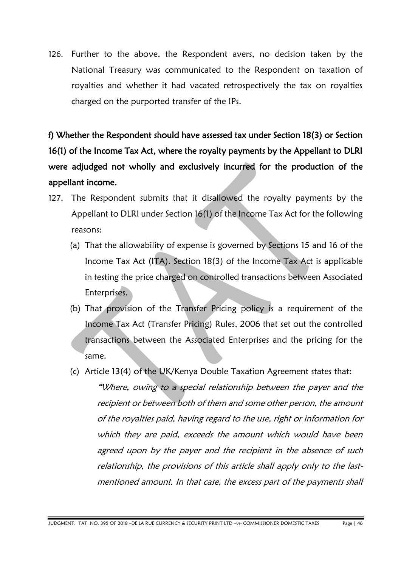126. Further to the above, the Respondent avers, no decision taken by the National Treasury was communicated to the Respondent on taxation of royalties and whether it had vacated retrospectively the tax on royalties charged on the purported transfer of the IPs.

f) Whether the Respondent should have assessed tax under Section 18(3) or Section 16(1) of the Income Tax Act, where the royalty payments by the Appellant to DLRI were adjudged not wholly and exclusively incurred for the production of the appellant income.

- 127. The Respondent submits that it disallowed the royalty payments by the Appellant to DLRI under Section 16(1) of the Income Tax Act for the following reasons:
	- (a) That the allowability of expense is governed by Sections 15 and 16 of the Income Tax Act (ITA). Section 18(3) of the Income Tax Act is applicable in testing the price charged on controlled transactions between Associated Enterprises.
	- (b) That provision of the Transfer Pricing policy is a requirement of the Income Tax Act (Transfer Pricing) Rules, 2006 that set out the controlled transactions between the Associated Enterprises and the pricing for the same.
	- (c) Article 13(4) of the UK/Kenya Double Taxation Agreement states that:

"Where, owing to a special relationship between the payer and the recipient or between both of them and some other person, the amount of the royalties paid, having regard to the use, right or information for which they are paid, exceeds the amount which would have been agreed upon by the payer and the recipient in the absence of such relationship, the provisions of this article shall apply only to the lastmentioned amount. In that case, the excess part of the payments shall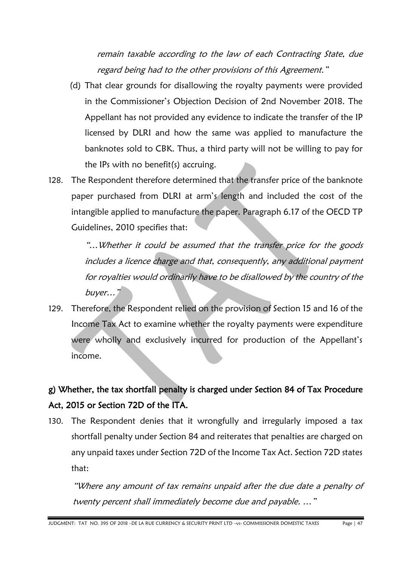remain taxable according to the law of each Contracting State, due regard being had to the other provisions of this Agreement."

- (d) That clear grounds for disallowing the royalty payments were provided in the Commissioner's Objection Decision of 2nd November 2018. The Appellant has not provided any evidence to indicate the transfer of the IP licensed by DLRI and how the same was applied to manufacture the banknotes sold to CBK. Thus, a third party will not be willing to pay for the IPs with no benefit(s) accruing.
- 128. The Respondent therefore determined that the transfer price of the banknote paper purchased from DLRI at arm's length and included the cost of the intangible applied to manufacture the paper. Paragraph 6.17 of the OECD TP Guidelines, 2010 specifies that:

"…Whether it could be assumed that the transfer price for the goods includes a licence charge and that, consequently, any additional payment for royalties would ordinarily have to be disallowed by the country of the buyer…"

129. Therefore, the Respondent relied on the provision of Section 15 and 16 of the Income Tax Act to examine whether the royalty payments were expenditure were wholly and exclusively incurred for production of the Appellant's income.

### g) Whether, the tax shortfall penalty is charged under Section 84 of Tax Procedure Act, 2015 or Section 72D of the ITA.

130. The Respondent denies that it wrongfully and irregularly imposed a tax shortfall penalty under Section 84 and reiterates that penalties are charged on any unpaid taxes under Section 72D of the Income Tax Act. Section 72D states that:

"Where any amount of tax remains unpaid after the due date a penalty of twenty percent shall immediately become due and payable. …"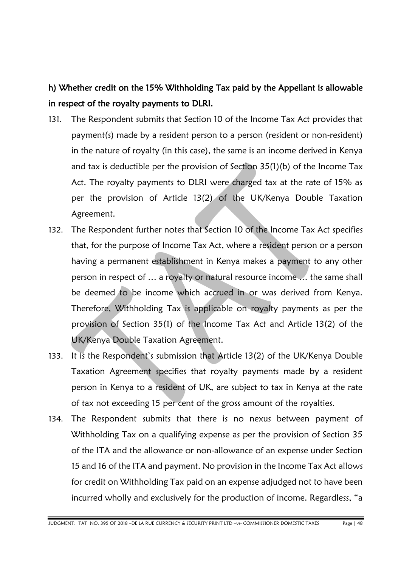## h) Whether credit on the 15% Withholding Tax paid by the Appellant is allowable in respect of the royalty payments to DLRI.

- 131. The Respondent submits that Section 10 of the Income Tax Act provides that payment(s) made by a resident person to a person (resident or non-resident) in the nature of royalty (in this case), the same is an income derived in Kenya and tax is deductible per the provision of Section 35(1)(b) of the Income Tax Act. The royalty payments to DLRI were charged tax at the rate of 15% as per the provision of Article 13(2) of the UK/Kenya Double Taxation Agreement.
- 132. The Respondent further notes that Section 10 of the Income Tax Act specifies that, for the purpose of Income Tax Act, where a resident person or a person having a permanent establishment in Kenya makes a payment to any other person in respect of … a royalty or natural resource income … the same shall be deemed to be income which accrued in or was derived from Kenya. Therefore, Withholding Tax is applicable on royalty payments as per the provision of Section 35(1) of the Income Tax Act and Article 13(2) of the UK/Kenya Double Taxation Agreement.
- 133. It is the Respondent's submission that Article 13(2) of the UK/Kenya Double Taxation Agreement specifies that royalty payments made by a resident person in Kenya to a resident of UK, are subject to tax in Kenya at the rate of tax not exceeding 15 per cent of the gross amount of the royalties.
- 134. The Respondent submits that there is no nexus between payment of Withholding Tax on a qualifying expense as per the provision of Section 35 of the ITA and the allowance or non-allowance of an expense under Section 15 and 16 of the ITA and payment. No provision in the Income Tax Act allows for credit on Withholding Tax paid on an expense adjudged not to have been incurred wholly and exclusively for the production of income. Regardless, "a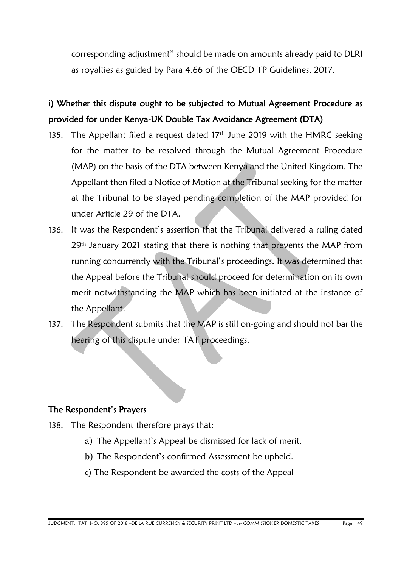corresponding adjustment" should be made on amounts already paid to DLRI as royalties as guided by Para 4.66 of the OECD TP Guidelines, 2017.

### i) Whether this dispute ought to be subjected to Mutual Agreement Procedure as provided for under Kenya-UK Double Tax Avoidance Agreement (DTA)

- 135. The Appellant filed a request dated  $17<sup>th</sup>$  June 2019 with the HMRC seeking for the matter to be resolved through the Mutual Agreement Procedure (MAP) on the basis of the DTA between Kenya and the United Kingdom. The Appellant then filed a Notice of Motion at the Tribunal seeking for the matter at the Tribunal to be stayed pending completion of the MAP provided for under Article 29 of the DTA.
- 136. It was the Respondent's assertion that the Tribunal delivered a ruling dated 29<sup>th</sup> January 2021 stating that there is nothing that prevents the MAP from running concurrently with the Tribunal's proceedings. It was determined that the Appeal before the Tribunal should proceed for determination on its own merit notwithstanding the MAP which has been initiated at the instance of the Appellant.
- 137. The Respondent submits that the MAP is still on-going and should not bar the hearing of this dispute under TAT proceedings.

#### The Respondent's Prayers

- 138. The Respondent therefore prays that:
	- a) The Appellant's Appeal be dismissed for lack of merit.
	- b) The Respondent's confirmed Assessment be upheld.
	- c) The Respondent be awarded the costs of the Appeal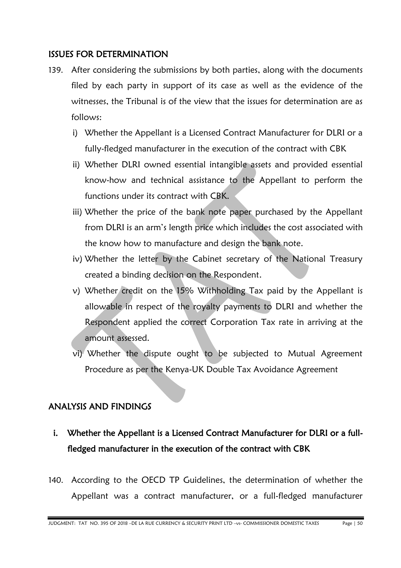#### ISSUES FOR DETERMINATION

- 139. After considering the submissions by both parties, along with the documents filed by each party in support of its case as well as the evidence of the witnesses, the Tribunal is of the view that the issues for determination are as follows:
	- i) Whether the Appellant is a Licensed Contract Manufacturer for DLRI or a fully-fledged manufacturer in the execution of the contract with CBK
	- ii) Whether DLRI owned essential intangible assets and provided essential know-how and technical assistance to the Appellant to perform the functions under its contract with CBK.
	- iii) Whether the price of the bank note paper purchased by the Appellant from DLRI is an arm's length price which includes the cost associated with the know how to manufacture and design the bank note.
	- iv) Whether the letter by the Cabinet secretary of the National Treasury created a binding decision on the Respondent.
	- v) Whether credit on the 15% Withholding Tax paid by the Appellant is allowable in respect of the royalty payments to DLRI and whether the Respondent applied the correct Corporation Tax rate in arriving at the amount assessed.
	- vi) Whether the dispute ought to be subjected to Mutual Agreement Procedure as per the Kenya-UK Double Tax Avoidance Agreement

#### ANALYSIS AND FINDINGS

- i. Whether the Appellant is a Licensed Contract Manufacturer for DLRI or a fullfledged manufacturer in the execution of the contract with CBK
- 140. According to the OECD TP Guidelines, the determination of whether the Appellant was a contract manufacturer, or a full-fledged manufacturer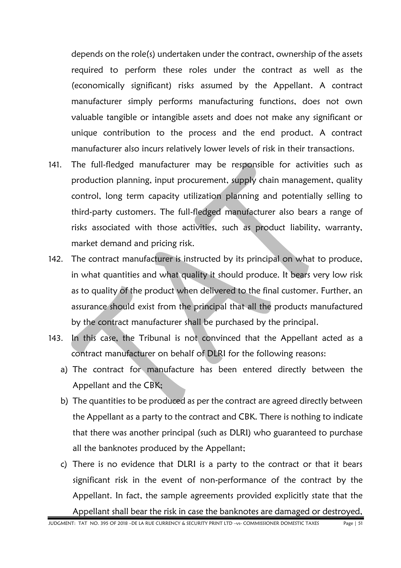depends on the role(s) undertaken under the contract, ownership of the assets required to perform these roles under the contract as well as the (economically significant) risks assumed by the Appellant. A contract manufacturer simply performs manufacturing functions, does not own valuable tangible or intangible assets and does not make any significant or unique contribution to the process and the end product. A contract manufacturer also incurs relatively lower levels of risk in their transactions.

- 141. The full-fledged manufacturer may be responsible for activities such as production planning, input procurement, supply chain management, quality control, long term capacity utilization planning and potentially selling to third-party customers. The full-fledged manufacturer also bears a range of risks associated with those activities, such as product liability, warranty, market demand and pricing risk.
- 142. The contract manufacturer is instructed by its principal on what to produce, in what quantities and what quality it should produce. It bears very low risk as to quality of the product when delivered to the final customer. Further, an assurance should exist from the principal that all the products manufactured by the contract manufacturer shall be purchased by the principal.
- 143. In this case, the Tribunal is not convinced that the Appellant acted as a contract manufacturer on behalf of DLRI for the following reasons:
	- a) The contract for manufacture has been entered directly between the Appellant and the CBK;
	- b) The quantities to be produced as per the contract are agreed directly between the Appellant as a party to the contract and CBK. There is nothing to indicate that there was another principal (such as DLRI) who guaranteed to purchase all the banknotes produced by the Appellant;
	- c) There is no evidence that DLRI is a party to the contract or that it bears significant risk in the event of non-performance of the contract by the Appellant. In fact, the sample agreements provided explicitly state that the Appellant shall bear the risk in case the banknotes are damaged or destroyed,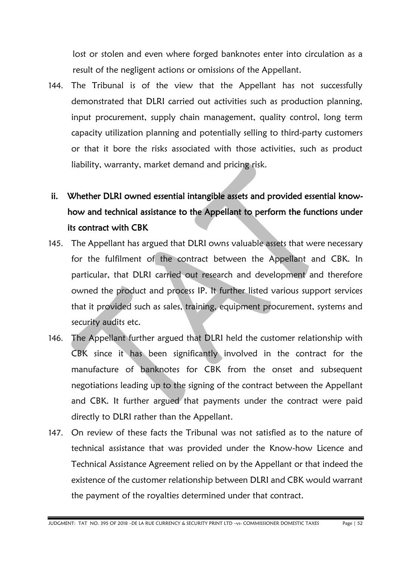lost or stolen and even where forged banknotes enter into circulation as a result of the negligent actions or omissions of the Appellant.

144. The Tribunal is of the view that the Appellant has not successfully demonstrated that DLRI carried out activities such as production planning, input procurement, supply chain management, quality control, long term capacity utilization planning and potentially selling to third-party customers or that it bore the risks associated with those activities, such as product liability, warranty, market demand and pricing risk.

## ii. Whether DLRI owned essential intangible assets and provided essential knowhow and technical assistance to the Appellant to perform the functions under its contract with CBK

- 145. The Appellant has argued that DLRI owns valuable assets that were necessary for the fulfilment of the contract between the Appellant and CBK. In particular, that DLRI carried out research and development and therefore owned the product and process IP. It further listed various support services that it provided such as sales, training, equipment procurement, systems and security audits etc.
- 146. The Appellant further argued that DLRI held the customer relationship with CBK since it has been significantly involved in the contract for the manufacture of banknotes for CBK from the onset and subsequent negotiations leading up to the signing of the contract between the Appellant and CBK. It further argued that payments under the contract were paid directly to DLRI rather than the Appellant.
- 147. On review of these facts the Tribunal was not satisfied as to the nature of technical assistance that was provided under the Know-how Licence and Technical Assistance Agreement relied on by the Appellant or that indeed the existence of the customer relationship between DLRI and CBK would warrant the payment of the royalties determined under that contract.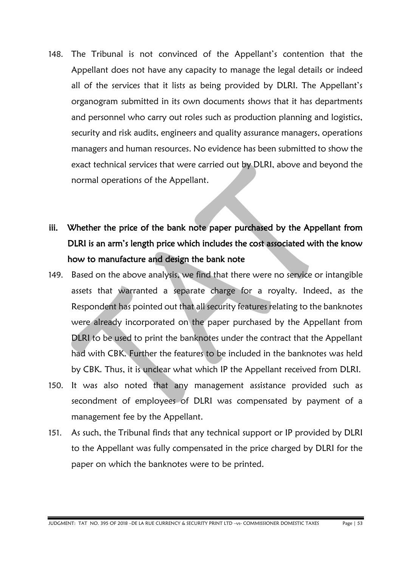- 148. The Tribunal is not convinced of the Appellant's contention that the Appellant does not have any capacity to manage the legal details or indeed all of the services that it lists as being provided by DLRI. The Appellant's organogram submitted in its own documents shows that it has departments and personnel who carry out roles such as production planning and logistics, security and risk audits, engineers and quality assurance managers, operations managers and human resources. No evidence has been submitted to show the exact technical services that were carried out by DLRI, above and beyond the normal operations of the Appellant.
- iii. Whether the price of the bank note paper purchased by the Appellant from DLRI is an arm's length price which includes the cost associated with the know how to manufacture and design the bank note
- 149. Based on the above analysis, we find that there were no service or intangible assets that warranted a separate charge for a royalty. Indeed, as the Respondent has pointed out that all security features relating to the banknotes were already incorporated on the paper purchased by the Appellant from DLRI to be used to print the banknotes under the contract that the Appellant had with CBK. Further the features to be included in the banknotes was held by CBK. Thus, it is unclear what which IP the Appellant received from DLRI.
- 150. It was also noted that any management assistance provided such as secondment of employees of DLRI was compensated by payment of a management fee by the Appellant.
- 151. As such, the Tribunal finds that any technical support or IP provided by DLRI to the Appellant was fully compensated in the price charged by DLRI for the paper on which the banknotes were to be printed.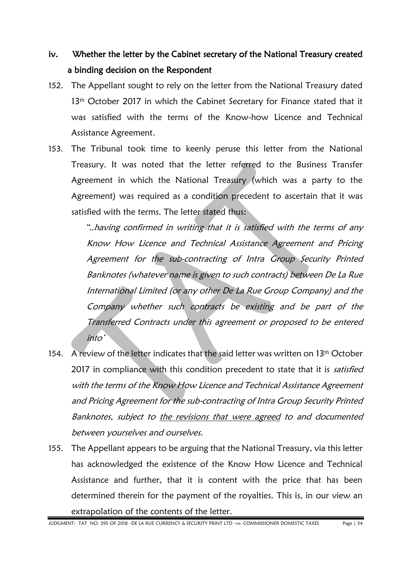### iv. Whether the letter by the Cabinet secretary of the National Treasury created a binding decision on the Respondent

- 152. The Appellant sought to rely on the letter from the National Treasury dated 13<sup>th</sup> October 2017 in which the Cabinet Secretary for Finance stated that it was satisfied with the terms of the Know-how Licence and Technical Assistance Agreement.
- 153. The Tribunal took time to keenly peruse this letter from the National Treasury. It was noted that the letter referred to the Business Transfer Agreement in which the National Treasury (which was a party to the Agreement) was required as a condition precedent to ascertain that it was satisfied with the terms. The letter stated thus:

"..having confirmed in writing that it is satisfied with the terms of any Know How Licence and Technical Assistance Agreement and Pricing Agreement for the sub-contracting of Intra Group Security Printed Banknotes (whatever name is given to such contracts) between De La Rue International Limited (or any other De La Rue Group Company) and the Company whether such contracts be existing and be part of the Transferred Contracts under this agreement or proposed to be entered into'

- 154. A review of the letter indicates that the said letter was written on 13<sup>th</sup> October 2017 in compliance with this condition precedent to state that it is satisfied with the terms of the Know How Licence and Technical Assistance Agreement and Pricing Agreement for the sub-contracting of Intra Group Security Printed Banknotes, subject to the revisions that were agreed to and documented between yourselves and ourselves.
- 155. The Appellant appears to be arguing that the National Treasury, via this letter has acknowledged the existence of the Know How Licence and Technical Assistance and further, that it is content with the price that has been determined therein for the payment of the royalties. This is, in our view an extrapolation of the contents of the letter.

JUDGMENT: TAT NO. 395 OF 2018 –DE LA RUE CURRENCY & SECURITY PRINT LTD –vs- COMMISSIONER DOMESTIC TAXES Page | 54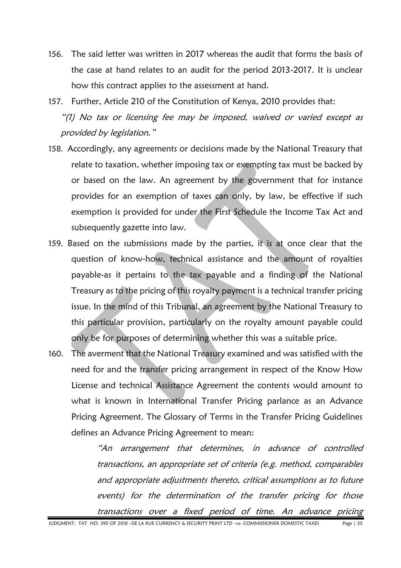- 156. The said letter was written in 2017 whereas the audit that forms the basis of the case at hand relates to an audit for the period 2013-2017. It is unclear how this contract applies to the assessment at hand.
- 157. Further, Article 210 of the Constitution of Kenya, 2010 provides that: "(1) No tax or licensing fee may be imposed, waived or varied except as provided by legislation."
- 158. Accordingly, any agreements or decisions made by the National Treasury that relate to taxation, whether imposing tax or exempting tax must be backed by or based on the law. An agreement by the government that for instance provides for an exemption of taxes can only, by law, be effective if such exemption is provided for under the First Schedule the Income Tax Act and subsequently gazette into law.
- 159. Based on the submissions made by the parties, it is at once clear that the question of know-how, technical assistance and the amount of royalties payable-as it pertains to the tax payable and a finding of the National Treasury as to the pricing of this royalty payment is a technical transfer pricing issue. In the mind of this Tribunal, an agreement by the National Treasury to this particular provision, particularly on the royalty amount payable could only be for purposes of determining whether this was a suitable price.
- 160. The averment that the National Treasury examined and was satisfied with the need for and the transfer pricing arrangement in respect of the Know How License and technical Assistance Agreement the contents would amount to what is known in International Transfer Pricing parlance as an Advance Pricing Agreement. The Glossary of Terms in the Transfer Pricing Guidelines defines an Advance Pricing Agreement to mean:

"An arrangement that determines, in advance of controlled transactions, an appropriate set of criteria (e.g. method, comparables and appropriate adjustments thereto, critical assumptions as to future events) for the determination of the transfer pricing for those transactions over a fixed period of time. An advance pricing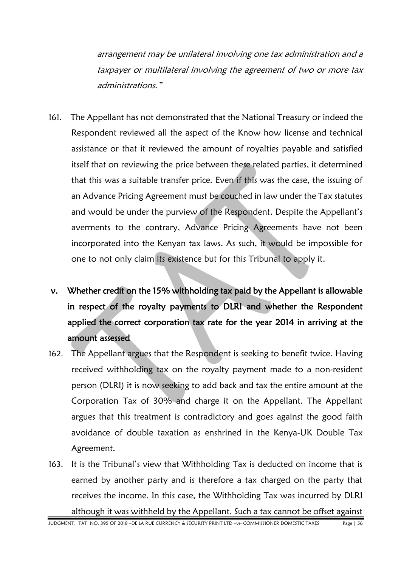arrangement may be unilateral involving one tax administration and a taxpayer or multilateral involving the agreement of two or more tax administrations."

- 161. The Appellant has not demonstrated that the National Treasury or indeed the Respondent reviewed all the aspect of the Know how license and technical assistance or that it reviewed the amount of royalties payable and satisfied itself that on reviewing the price between these related parties, it determined that this was a suitable transfer price. Even if this was the case, the issuing of an Advance Pricing Agreement must be couched in law under the Tax statutes and would be under the purview of the Respondent. Despite the Appellant's averments to the contrary, Advance Pricing Agreements have not been incorporated into the Kenyan tax laws. As such, it would be impossible for one to not only claim its existence but for this Tribunal to apply it.
- v. Whether credit on the 15% withholding tax paid by the Appellant is allowable in respect of the royalty payments to DLRI and whether the Respondent applied the correct corporation tax rate for the year 2014 in arriving at the amount assessed
- 162. The Appellant argues that the Respondent is seeking to benefit twice. Having received withholding tax on the royalty payment made to a non-resident person (DLRI) it is now seeking to add back and tax the entire amount at the Corporation Tax of 30% and charge it on the Appellant. The Appellant argues that this treatment is contradictory and goes against the good faith avoidance of double taxation as enshrined in the Kenya-UK Double Tax Agreement.
- 163. It is the Tribunal's view that Withholding Tax is deducted on income that is earned by another party and is therefore a tax charged on the party that receives the income. In this case, the Withholding Tax was incurred by DLRI although it was withheld by the Appellant. Such a tax cannot be offset against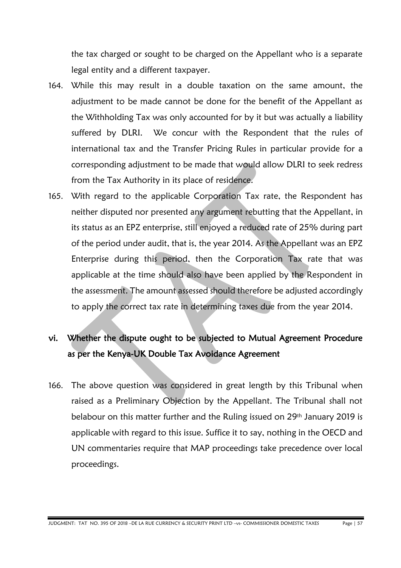the tax charged or sought to be charged on the Appellant who is a separate legal entity and a different taxpayer.

- 164. While this may result in a double taxation on the same amount, the adjustment to be made cannot be done for the benefit of the Appellant as the Withholding Tax was only accounted for by it but was actually a liability suffered by DLRI. We concur with the Respondent that the rules of international tax and the Transfer Pricing Rules in particular provide for a corresponding adjustment to be made that would allow DLRI to seek redress from the Tax Authority in its place of residence.
- 165. With regard to the applicable Corporation Tax rate, the Respondent has neither disputed nor presented any argument rebutting that the Appellant, in its status as an EPZ enterprise, still enjoyed a reduced rate of 25% during part of the period under audit, that is, the year 2014. As the Appellant was an EPZ Enterprise during this period, then the Corporation Tax rate that was applicable at the time should also have been applied by the Respondent in the assessment. The amount assessed should therefore be adjusted accordingly to apply the correct tax rate in determining taxes due from the year 2014.

## vi. Whether the dispute ought to be subjected to Mutual Agreement Procedure as per the Kenya-UK Double Tax Avoidance Agreement

166. The above question was considered in great length by this Tribunal when raised as a Preliminary Objection by the Appellant. The Tribunal shall not belabour on this matter further and the Ruling issued on 29<sup>th</sup> January 2019 is applicable with regard to this issue. Suffice it to say, nothing in the OECD and UN commentaries require that MAP proceedings take precedence over local proceedings.